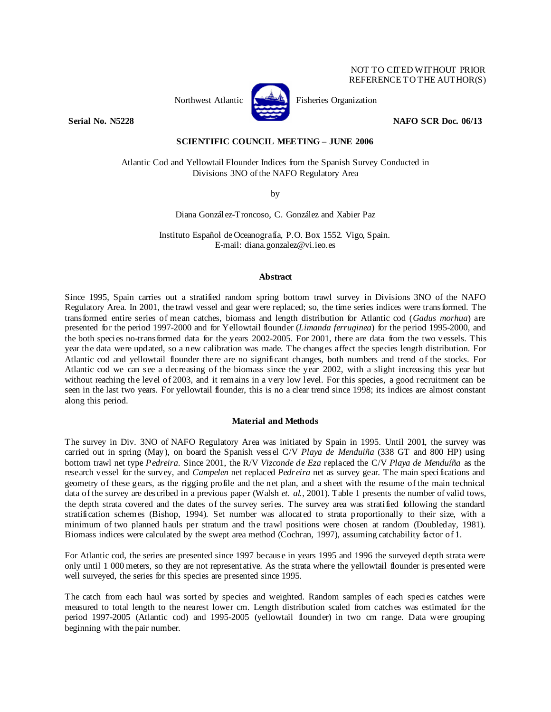# NOT TO CITED WITHOUT PRIOR REFERENCE TO THE AUTHOR(S)



Northwest Atlantic **Kernet** Fisheries Organization

**Serial No. N5228 NAFO SCR Doc. 06/13** 

# **SCIENTIFIC COUNCIL MEETING – JUNE 2006**

Atlantic Cod and Yellowtail Flounder Indices from the Spanish Survey Conducted in Divisions 3NO of the NAFO Regulatory Area

by

Diana González-Troncoso, C. González and Xabier Paz

Instituto Español de Oceanografía, P.O. Box 1552. Vigo, Spain. E-mail: diana.gonzalez@vi.ieo.es

# **Abstract**

Since 1995, Spain carries out a stratified random spring bottom trawl survey in Divisions 3NO of the NAFO Regulatory Area. In 2001, the trawl vessel and gear were replaced; so, the time series indices were transformed. The transformed entire series of mean catches, biomass and length distribution for Atlantic cod (*Gadus morhua*) are presented for the period 1997-2000 and for Yellowtail flounder (*Limanda ferruginea*) for the period 1995-2000, and the both species no-transformed data for the years 2002-2005. For 2001, there are data from the two vessels. This year the data were updated, so a new calibration was made. The changes affect the species length distribution. For Atlantic cod and yellowtail flounder there are no significant changes, both numbers and trend of the stocks. For Atlantic cod we can see a decreasing of the biomass since the year 2002, with a slight increasing this year but without reaching the level of 2003, and it remains in a very low level. For this species, a good recruitment can be seen in the last two years. For yellowtail flounder, this is no a clear trend since 1998; its indices are almost constant along this period.

# **Material and Methods**

The survey in Div. 3NO of NAFO Regulatory Area was initiated by Spain in 1995. Until 2001, the survey was carried out in spring (May), on board the Spanish vessel C/V *Playa de Menduiña* (338 GT and 800 HP) using bottom trawl net type *Pedreira*. Since 2001, the R/V *Vizconde de Eza* replaced the C/V *Playa de Menduíña* as the research vessel for the survey, and *Campelen* net replaced *Pedreira* net as survey gear. The main specifications and geometry of these gears, as the rigging profile and the net plan, and a sheet with the resume of the main technical data of the survey are described in a previous paper (Walsh *et. al.*, 2001). Table 1 presents the number of valid tows, the depth strata covered and the dates of the survey series. The survey area was stratified following the standard stratification schemes (Bishop, 1994). Set number was allocated to strata proportionally to their size, with a minimum of two planned hauls per stratum and the trawl positions were chosen at random (Doubleday, 1981). Biomass indices were calculated by the swept area method (Cochran, 1997), assuming catchability factor of 1.

For Atlantic cod, the series are presented since 1997 because in years 1995 and 1996 the surveyed depth strata were only until 1 000 meters, so they are not representative. As the strata where the yellowtail flounder is presented were well surveyed, the series for this species are presented since 1995.

The catch from each haul was sorted by species and weighted. Random samples of each species catches were measured to total length to the nearest lower cm. Length distribution scaled from catches was estimated for the period 1997-2005 (Atlantic cod) and 1995-2005 (yellowtail flounder) in two cm range. Data were grouping beginning with the pair number.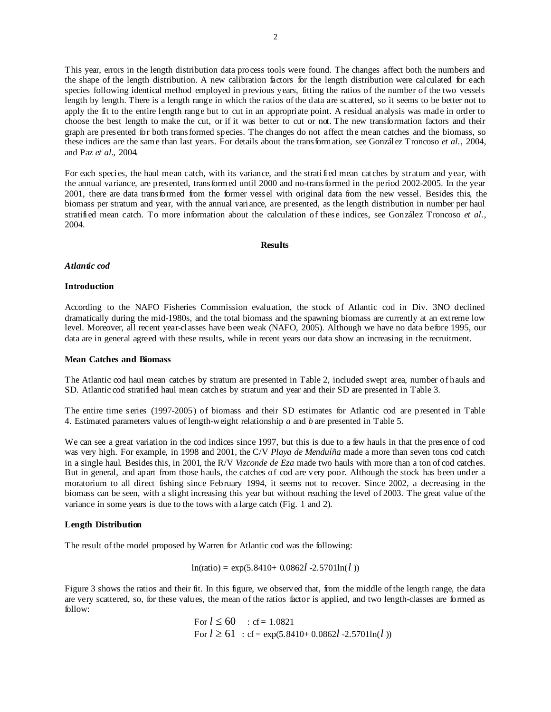This year, errors in the length distribution data process tools were found. The changes affect both the numbers and the shape of the length distribution. A new calibration factors for the length distribution were calculated for each species following identical method employed in previous years, fitting the ratios of the number of the two vessels length by length. There is a length range in which the ratios of the data are scattered, so it seems to be better not to apply the fit to the entire length range but to cut in an appropriate point. A residual analysis was made in order to choose the best length to make the cut, or if it was better to cut or not. The new transformation factors and their graph are presented for both transformed species. The changes do not affect the mean catches and the biomass, so these indices are the same than last years. For details about the transformation, see González Troncoso *et al.*, 2004, and Paz *et al.*, 2004.

For each species, the haul mean catch, with its variance, and the stratified mean catches by stratum and year, with the annual variance, are presented, transformed until 2000 and no-transformed in the period 2002-2005. In the year 2001, there are data transformed from the former vessel with original data from the new vessel. Besides this, the biomass per stratum and year, with the annual variance, are presented, as the length distribution in number per haul stratified mean catch. To more information about the calculation of these indices, see González Troncoso *et al.*, 2004.

### **Results**

# *Atlantic cod*

#### **Introduction**

According to the NAFO Fisheries Commission evaluation, the stock of Atlantic cod in Div. 3NO declined dramatically during the mid-1980s, and the total biomass and the spawning biomass are currently at an extreme low level. Moreover, all recent year-classes have been weak (NAFO, 2005). Although we have no data before 1995, our data are in general agreed with these results, while in recent years our data show an increasing in the recruitment.

#### **Mean Catches and Biomass**

The Atlantic cod haul mean catches by stratum are presented in Table 2, included swept area, number of hauls and SD. Atlantic cod stratified haul mean catches by stratum and year and their SD are presented in Table 3.

The entire time series (1997-2005) of biomass and their SD estimates for Atlantic cod are presented in Table 4. Estimated parameters values of length-weight relationship *a* and *b* are presented in Table 5.

We can see a great variation in the cod indices since 1997, but this is due to a few hauls in that the presence of cod was very high. For example, in 1998 and 2001, the C/V *Playa de Menduíña* made a more than seven tons cod catch in a single haul. Besides this, in 2001, the R/V *Vizconde de Eza* made two hauls with more than a ton of cod catches. But in general, and apart from those hauls, the catches of cod are very poor. Although the stock has been under a moratorium to all direct fishing since February 1994, it seems not to recover. Since 2002, a decreasing in the biomass can be seen, with a slight increasing this year but without reaching the level of 2003. The great value of the variance in some years is due to the tows with a large catch (Fig. 1 and 2).

# **Length Distribution**

The result of the model proposed by Warren for Atlantic cod was the following:

$$
ln(ratio) = exp(5.8410 + 0.0862l - 2.5701ln(l))
$$

Figure 3 shows the ratios and their fit. In this figure, we observed that, from the middle of the length range, the data are very scattered, so, for these values, the mean of the ratios factor is applied, and two length-classes are formed as follow:

For 
$$
l \le 60
$$
 : cf = 1.0821  
For  $l \ge 61$  : cf = exp(5.8410+ 0.0862l -2.5701ln(*l* ))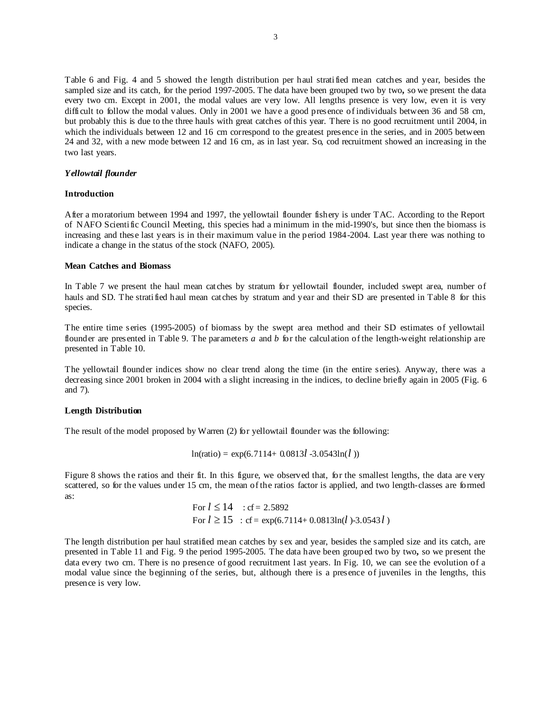Table 6 and Fig. 4 and 5 showed the length distribution per haul stratified mean catches and year, besides the sampled size and its catch, for the period 1997-2005. The data have been grouped two by two**,** so we present the data every two cm. Except in 2001, the modal values are very low. All lengths presence is very low, even it is very difficult to follow the modal values. Only in 2001 we have a good presence of individuals between 36 and 58 cm, but probably this is due to the three hauls with great catches of this year. There is no good recruitment until 2004, in which the individuals between 12 and 16 cm correspond to the greatest presence in the series, and in 2005 between 24 and 32, with a new mode between 12 and 16 cm, as in last year. So, cod recruitment showed an increasing in the two last years.

# *Yellowtail flounder*

## **Introduction**

After a moratorium between 1994 and 1997, the yellowtail flounder fishery is under TAC. According to the Report of NAFO Scientific Council Meeting, this species had a minimum in the mid-1990's, but since then the biomass is increasing and these last years is in their maximum value in the period 1984-2004. Last year there was nothing to indicate a change in the status of the stock (NAFO, 2005).

# **Mean Catches and Biomass**

In Table 7 we present the haul mean catches by stratum for yellowtail flounder, included swept area, number of hauls and SD. The stratified haul mean catches by stratum and year and their SD are presented in Table 8 for this species.

The entire time series (1995-2005) of biomass by the swept area method and their SD estimates of yellowtail flounder are presented in Table 9. The parameters *a* and *b* for the calculation of the length-weight relationship are presented in Table 10.

The yellowtail flounder indices show no clear trend along the time (in the entire series). Anyway, there was a decreasing since 2001 broken in 2004 with a slight increasing in the indices, to decline briefly again in 2005 (Fig. 6) and 7).

#### **Length Distribution**

The result of the model proposed by Warren (2) for yellowtail flounder was the following:

 $ln(ratio) = exp(6.7114 + 0.0813l - 3.0543ln(l))$ 

Figure 8 shows the ratios and their fit. In this figure, we observed that, for the smallest lengths, the data are very scattered, so for the values under 15 cm, the mean of the ratios factor is applied, and two length-classes are formed as:

For 
$$
l \le 14
$$
 : cf = 2.5892  
For  $l \ge 15$  : cf = exp(6.7114+ 0.0813ln(*l*)-3.0543 *l*)

The length distribution per haul stratified mean catches by sex and year, besides the sampled size and its catch, are presented in Table 11 and Fig. 9 the period 1995-2005. The data have been grouped two by two**,** so we present the data every two cm. There is no presence of good recruitment last years. In Fig. 10, we can see the evolution of a modal value since the beginning of the series, but, although there is a presence of juveniles in the lengths, this presence is very low.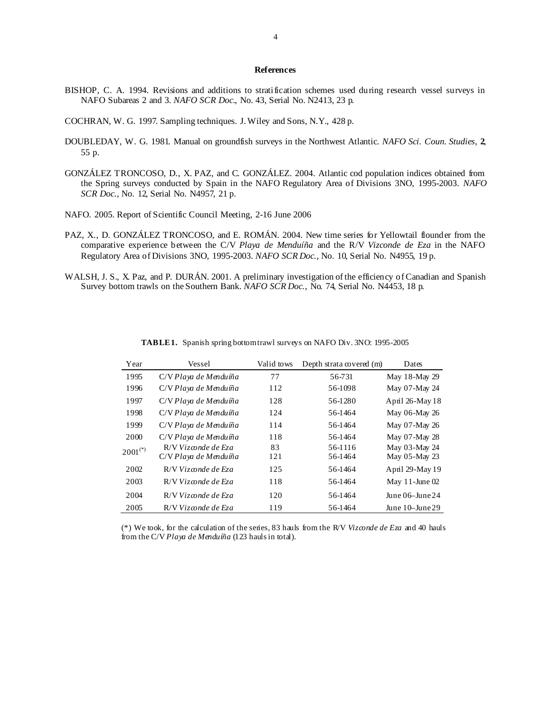## **References**

- BISHOP, C. A. 1994. Revisions and additions to stratification schemes used during research vessel surveys in NAFO Subareas 2 and 3*. NAFO SCR Doc*., No. 43, Serial No. N2413, 23 p.
- COCHRAN, W. G. 1997. Sampling techniques. J. Wiley and Sons, N.Y., 428 p.
- DOUBLEDAY, W. G. 1981. Manual on groundfish surveys in the Northwest Atlantic. *NAFO Sci. Coun. Studies*, **2**, 55 p.
- GONZÁLEZ TRONCOSO, D., X. PAZ, and C. GONZÁLEZ. 2004. Atlantic cod population indices obtained from the Spring surveys conducted by Spain in the NAFO Regulatory Area of Divisions 3NO, 1995-2003. *NAFO SCR Doc*., No. 12, Serial No. N4957, 21 p.
- NAFO. 2005. Report of Scientific Council Meeting, 2-16 June 2006
- PAZ, X., D. GONZÁLEZ TRONCOSO, and E. ROMÁN. 2004. New time series for Yellowtail flounder from the comparative experience between the C/V *Playa de Menduíña* and the R/V *Vizconde de Eza* in the NAFO Regulatory Area of Divisions 3NO, 1995-2003. *NAFO SCR Doc*., No. 10, Serial No. N4955, 19 p.
- WALSH, J. S., X. Paz, and P. DURÁN. 2001. A preliminary investigation of the efficiency of Canadian and Spanish Survey bottom trawls on the Southern Bank. *NAFO SCR Doc*., No. 74, Serial No. N4453, 18 p.

| Year         | Vessel                | Valid tows | Depth strata covered (m) | Dates                |
|--------------|-----------------------|------------|--------------------------|----------------------|
| 1995         | C/V Playa de Menduíña | 77         | 56-731                   | May 18-May 29        |
| 1996         | C/V Playa de Menduíña | 112        | 56-1098                  | May 07-May 24        |
| 1997         | C/V Playa de Menduíña | 128        | 56-1280                  | April 26-May 18      |
| 1998         | C/V Playa de Menduíña | 124        | 56-1464                  | May 06-May 26        |
| 1999         | C/V Playa de Menduíña | 114        | 56-1464                  | May 07-May 26        |
| 2000         | C/V Playa de Menduíña | 118        | 56-1464                  | May 07-May 28        |
| $2001^{(*)}$ | R/V Vizconde de Eza   | 83         | 56-1116                  | May 03-May 24        |
|              | C/V Playa de Menduíña | 121        | 56-1464                  | May 05-May 23        |
| 2002         | R/V Vizconde de Eza   | 125        | 56-1464                  | April 29-May 19      |
| 2003         | R/V Vizconde de Eza   | 118        | 56-1464                  | May $11$ -June $02$  |
| 2004         | $R/V$ Vizconde de Eza | 120        | 56-1464                  | June $06$ -June $24$ |
| 2005         | $R/V$ Vizconde de Eza | 119        | 56-1464                  | June $10$ -June $29$ |

**TABLE 1.** Spanish spring bottom trawl surveys on NAFO Div. 3NO: 1995-2005

(\*) We took, for the calculation of the series, 83 hauls from the R/V *Vizconde de Eza* and 40 hauls from the C/V *Playa de Menduíña* (123 hauls in total).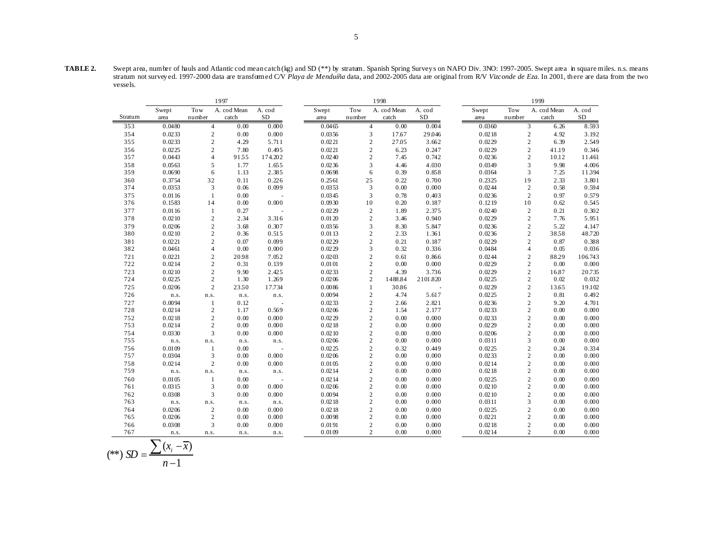**TABLE 2.** Swept area, number of hauls and Atlantic cod mean catch (kg) and SD (\*\*) by stratum. Spanish Spring Survey s on NAFO Div. 3NO: 1997-2005. Swept area in square miles. n.s. means stratum not survey ed. 1997-2000 data are transformed C/V *Playa de Menduíña* data, and 2002-2005 data are original from R/V *Vizconde de Eza*. In 2001, th ere are data from the two vessels.

|         |        |                | 1997        |           |        | 1999           |             |            |        |                |             |            |
|---------|--------|----------------|-------------|-----------|--------|----------------|-------------|------------|--------|----------------|-------------|------------|
|         | Swept  | Tow            | A. cod Mean | A. cod    | Swept  | Tow            | A. cod Mean | A. cod     | Swept  | Tow            | A. cod Mean | A. cod     |
| Stratum | area   | number         | catch       | <b>SD</b> | area   | number         | catch       | ${\rm SD}$ | area   | number         | catch       | ${\rm SD}$ |
| 353     | 0.0480 | $\overline{4}$ | 0.00        | 0.000     | 0.0465 | $\overline{4}$ | 0.00        | 0.004      | 0.0360 | 3              | 6.26        | 8.593      |
| 354     | 0.0233 | $\sqrt{2}$     | 0.00        | 0.000     | 0.0356 | $\mathfrak{Z}$ | 17.67       | 29.046     | 0.0218 | $\overline{c}$ | 4.92        | 3.192      |
| 355     | 0.0233 | $\overline{c}$ | 4.29        | 5.711     | 0.0221 | $\overline{c}$ | 27.05       | 3.662      | 0.0229 | $\overline{c}$ | 6.39        | 2.549      |
| 356     | 0.0225 | $\mathbf{2}$   | 7.80        | 0.495     | 0.0221 | $\sqrt{2}$     | 6.23        | 0.247      | 0.0229 | $\overline{c}$ | 41.19       | 0.346      |
| 357     | 0.0443 | $\overline{4}$ | 9155        | 174.202   | 0.0240 | $\sqrt{2}$     | 7.45        | 0.742      | 0.0236 | $\overline{c}$ | 10.12       | 11.461     |
| 358     | 0.0563 | 5              | 1.77        | 1.655     | 0.0236 | $\overline{3}$ | 4.46        | 4.030      | 0.0349 | 3              | 9.98        | 4.006      |
| 359     | 0.0690 | 6              | 1.13        | 2.385     | 0.0698 | 6              | 0.39        | 0.858      | 0.0364 | 3              | 7.25        | 11394      |
| 360     | 0.3754 | 32             | 0.11        | 0.226     | 0.2561 | 25             | 0.22        | 0.700      | 0.2325 | 19             | 2.33        | 3.801      |
| 374     | 0.0353 | 3              | 0.06        | 0.099     | 0.0353 | 3              | 0.00        | 0.000      | 0.0244 | $\overline{c}$ | 0.58        | 0.594      |
| 375     | 0.0116 | $\mathbf{1}$   | 0.00        |           | 0.0345 | 3              | 0.78        | 0.403      | 0.0236 | $\overline{c}$ | 0.97        | 0.579      |
| 376     | 0.1583 | 14             | 0.00        | 0.000     | 0.0930 | 10             | 0.20        | 0.187      | 0.1219 | 10             | 0.62        | 0.545      |
| 377     | 0.0116 | $\mathbf{1}$   | 0.27        |           | 0.0229 | $\overline{c}$ | 1.89        | 2.375      | 0.0240 | $\overline{c}$ | 0.21        | 0.302      |
| 378     | 0.0210 | $\sqrt{2}$     | 2.34        | 3.316     | 0.0120 | $\sqrt{2}$     | 3.46        | 0.940      | 0.0229 | $\overline{c}$ | 7.76        | 5.951      |
| 379     | 0.0206 | $\sqrt{2}$     | 3.68        | 0.307     | 0.0356 | $\sqrt{3}$     | 8.30        | 5.847      | 0.0236 | $\overline{c}$ | 5.22        | 4.147      |
| 380     | 0.0210 | $\mathbf{2}$   | 0.36        | 0.515     | 0.0113 | $\sqrt{2}$     | 2.33        | 1.361      | 0.0236 | $\overline{c}$ | 3858        | 48.720     |
| 381     | 0.0221 | $\sqrt{2}$     | 0.07        | 0.099     | 0.0229 | $\overline{c}$ | 0.21        | 0.187      | 0.0229 | $\overline{c}$ | 0.87        | 0.388      |
| 382     | 0.0461 | 4              | 0.00        | 0.000     | 0.0229 | 3              | 0.32        | 0.336      | 0.0484 | $\overline{4}$ | 0.05        | 0.036      |
| 721     | 0.0221 | $\overline{c}$ | 2098        | 7.052     | 0.0203 | $\overline{c}$ | 0.61        | 0.866      | 0.0244 | $\overline{c}$ | 88.29       | 106.743    |
| 722     | 0.0214 | $\mathbf{2}$   | 0.31        | 0.139     | 0.0101 | $\sqrt{2}$     | 0.00        | 0.000      | 0.0229 | $\overline{c}$ | 0.00        | 0.000      |
| 723     | 0.0210 | $\mathbf{2}$   | 9.90        | 2.425     | 0.0233 | $\mathbf{2}$   | 4.39        | 3.736      | 0.0229 | $\overline{c}$ | 16.87       | 20.735     |
| 724     | 0.0225 | $\sqrt{2}$     | 1.30        | 1.269     | 0.0206 | $\mathbf{2}$   | 1488.84     | 2101.820   | 0.0225 | $\sqrt{2}$     | 0.02        | 0.032      |
| 725     | 0.0206 | 2              | 2350        | 17.734    | 0.0086 | $\mathbf{1}$   | 30.86       | $\sim$     | 0.0229 | $\overline{c}$ | 13.65       | 19.102     |
| 726     | n.s.   | n.s.           | n.s.        | n.s.      | 0.0094 | $\mathbf{2}$   | 4.74        | 5.617      | 0.0225 | $\overline{c}$ | 0.81        | 0.492      |
| 727     | 0.0094 | $\mathbf{1}$   | 0.12        |           | 0.0233 | $\overline{c}$ | 2.66        | 2.821      | 0.0236 | $\overline{c}$ | 9.20        | 4.701      |
| 728     | 0.0214 | $\mathbf{2}$   | 1.17        | 0.569     | 0.0206 | $\overline{c}$ | 1.54        | 2.177      | 0.0233 | $\overline{c}$ | 0.00        | 0.000      |
| 752     | 0.0218 | $\overline{c}$ | 0.00        | 0.000     | 0.0229 | $\sqrt{2}$     | 0.00        | 0.000      | 0.0233 | $\overline{c}$ | 0.00        | 0.000      |
| 753     | 0.0214 | $\sqrt{2}$     | 0.00        | 0.000     | 0.0218 | $\sqrt{2}$     | 0.00        | 0.000      | 0.0229 | $\overline{c}$ | 0.00        | 0.000      |
| 754     | 0.0330 | 3              | 0.00        | 0.000     | 0.0210 | $\sqrt{2}$     | 0.00        | 0.000      | 0.0206 | $\overline{c}$ | 0.00        | 0.000      |
| 755     | n.s.   | n.s.           | n.s.        | n.s.      | 0.0206 | $\sqrt{2}$     | 0.00        | 0.000      | 0.0311 | 3              | 0.00        | 0.000      |
| 756     | 0.0109 | -1             | 0.00        |           | 0.0225 | $\sqrt{2}$     | 0.32        | 0.449      | 0.0225 | $\overline{c}$ | 0.24        | 0.334      |
| 757     | 0.0304 | 3              | 0.00        | 0.000     | 0.0206 | $\sqrt{2}$     | 0.00        | 0.000      | 0.0233 | $\overline{c}$ | 0.00        | 0.000      |
| 758     | 0.0214 | $\overline{c}$ | 0.00        | 0.000     | 0.0105 | $\sqrt{2}$     | 0.00        | 0.000      | 0.0214 | $\overline{c}$ | 0.00        | 0.000      |
| 759     | n.s.   | n.s.           | n.s.        | n.s.      | 0.0214 | $\mathbf{2}$   | 0.00        | 0.000      | 0.0218 | $\overline{c}$ | 0.00        | 0.000      |
| 760     | 0.0105 | $\mathbf{1}$   | 0.00        |           | 0.0214 | $\sqrt{2}$     | 0.00        | 0.000      | 0.0225 | $\overline{c}$ | 0.00        | 0.000      |
| 761     | 0.0315 | 3              | 0.00        | 0.000     | 0.0206 | $\sqrt{2}$     | 0.00        | 0.000      | 0.0210 | $\overline{c}$ | 0.00        | 0.000      |
| 762     | 0.0308 | 3              | 0.00        | 0.000     | 0.0094 | $\overline{c}$ | 0.00        | 0.000      | 0.0210 | $\overline{c}$ | 0.00        | 0.000      |
| 763     | n.s.   | n.s.           | n.s.        | n.s.      | 0.0218 | $\sqrt{2}$     | 0.00        | 0.000      | 0.0311 | 3              | 0.00        | 0.000      |
| 764     | 0.0206 | $\overline{2}$ | 0.00        | 0.000     | 0.0218 | $\overline{c}$ | 0.00        | 0.000      | 0.0225 | $\overline{c}$ | 0.00        | 0.000      |
| 765     | 0.0206 | 2              | 0.00        | 0.000     | 0.0098 | $\mathbf{2}$   | 0.00        | 0.000      | 0.0221 | $\overline{c}$ | 0.00        | 0.000      |
| 766     | 0.0308 | 3              | 0.00        | 0.000     | 0.0191 | $\overline{c}$ | 0.00        | 0.000      | 0.0218 | $\overline{c}$ | 0.00        | 0.000      |
| 767     | n.s.   | n.s.           | n.s.        | n.s.      | 0.0109 | $\overline{c}$ | 0.00        | 0.000      | 0.0214 | $\overline{c}$ | 0.00        | 0.000      |

$$
(**) SD = \frac{\sum (x_i - \overline{x})}{n-1}
$$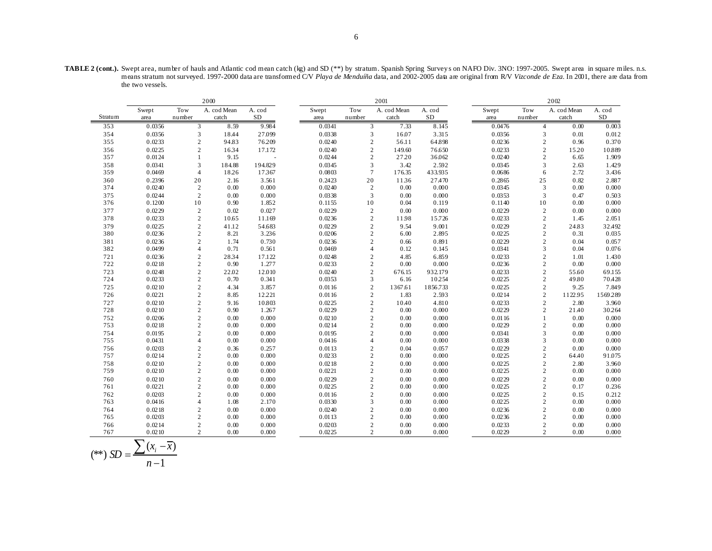**TABLE 2 (cont.).** Swept area, number of hauls and Atlantic cod mean catch (kg) and SD (\*\*) by stratum. Spanish Spring Surveys on NAFO Div. 3NO: 1997-2005. Swept area in square miles. n.s. means stratum not surveyed. 1997-2000 data are transformed C/V *Playa de Menduíña* data, and 2002-2005 data are original from R/V *Vizconde de Eza*. In 2001, there are data from the two vessels.

|            |                  |                                  | 2000         |                | 2001             |                                  |              |                |  |                  | 2002                             |              |                |  |  |
|------------|------------------|----------------------------------|--------------|----------------|------------------|----------------------------------|--------------|----------------|--|------------------|----------------------------------|--------------|----------------|--|--|
|            | Swept            | Tow                              | A. cod Mean  | A. cod         | Swept            | Tow                              | A. cod Mean  | A. cod         |  | Swept            | Tow                              | A. cod Mean  | A. cod         |  |  |
| Stratum    | area             | number                           | catch        | <b>SD</b>      | area             | number                           | catch        | ${\rm SD}$     |  | area             | number                           | catch        | ${\rm SD}$     |  |  |
| 353        | 0.0356           | 3                                | 8.59         | 9.984          | 0.0341           | 3                                | 7.33         | 8.145          |  | 0.0476           | 4                                | 0.00         | 0.003          |  |  |
| 354        | 0.0356           | $\mathfrak{Z}$                   | 18.44        | 27.099         | 0.0338           | 3                                | 16.07        | 3.315          |  | 0.0356           | 3                                | 0.01         | 0.012          |  |  |
| 355        | 0.0233           | $\overline{2}$                   | 94.83        | 76209          | 0.0240           | $\overline{c}$                   | 56.11        | 64.898         |  | 0.0236           | $\mathbf{2}$                     | 0.96         | 0.370          |  |  |
| 356        | 0.0225           | $\overline{2}$                   | 1634         | 17.172         | 0.0240           | $\overline{2}$                   | 149.60       | 76.650         |  | 0.0233           | $\overline{c}$                   | 15.20        | 10.889         |  |  |
| 357        | 0.0124           | $\mathbf{1}$                     | 9.15         |                | 0.0244           | $\overline{2}$                   | 27.20        | 36.062         |  | 0.0240           | $\overline{c}$                   | 6.65         | 1.909          |  |  |
| 358        | 0.0341           | 3                                | 184.88       | 194.829        | 0.0345           | 3                                | 3.42         | 2.592          |  | 0.0345           | 3                                | 2.63         | 1.429          |  |  |
| 359        | 0.0469           | $\overline{4}$                   | 18.26        | 17367          | 0.0803           | $7\phantom{.0}$                  | 176.35       | 433.935        |  | 0.0686           | 6                                | 2.72         | 3.436          |  |  |
| 360        | 0.2396           | 20                               | 2.16         | 3.561          | 0.2423           | 20                               | 1136         | 27.470         |  | 0.2865           | 25                               | 0.82         | 2.887          |  |  |
| 374        | 0.0240           | 2                                | 0.00         | 0.000          | 0.0240           | $\overline{2}$                   | 0.00         | 0.000          |  | 0.0345           | 3                                | 0.00         | 0.000          |  |  |
| 375        | 0.0244           | $\overline{2}$                   | 0.00         | 0.000          | 0.0338           | 3                                | 0.00         | 0.000          |  | 0.0353           | 3                                | 0.47         | 0.503          |  |  |
| 376        | 0.1200           | 10                               | 0.90         | 1.852          | 0.1155           | 10                               | 0.04         | 0.119          |  | 0.1140           | 10                               | 0.00         | 0.000          |  |  |
| 377        | 0.0229           | $\overline{2}$                   | 0.02         | 0.027          | 0.0229           | $\overline{2}$                   | 0.00         | 0.000          |  | 0.0229           | $\mathbf{2}$                     | 0.00         | 0.000          |  |  |
| 378        | 0.0233           | $\mathbf{2}$                     | 10.65        | 11.169         | 0.0236           | $\overline{2}$                   | 1198         | 15.726         |  | 0.0233           | $\mathbf{2}$                     | 1.45         | 2.051          |  |  |
| 379        | 0.0225           | $\sqrt{2}$                       | 41.12        | 54.683         | 0.0229           | $\overline{2}$                   | 9.54         | 9.001          |  | 0.0229           | $\overline{c}$                   | 24.83        | 32.492         |  |  |
| 380        | 0.0236           | $\mathbf{2}$                     | 8.21         | 3.236          | 0.0206           | $\overline{2}$                   | 6.00         | 2.895          |  | 0.0225           | $\mathbf{2}$                     | 0.31         | 0.035          |  |  |
| 381        | 0.0236           | $\overline{2}$                   | 1.74         | 0.730          | 0.0236           | $\overline{c}$                   | 0.66         | 0.891          |  | 0.0229           | $\overline{c}$                   | 0.04         | 0.057          |  |  |
| 382        | 0.0499           | $\overline{4}$                   | 0.71         | 0.561          | 0.0469           | $\overline{4}$                   | 0.12         | 0.145          |  | 0.0341           | 3                                | 0.04         | 0.076          |  |  |
| 721        | 0.0236           | $\overline{2}$                   | 2834         | 17.122         | 0.0248           | $\overline{2}$                   | 4.85         | 6.859          |  | 0.0233           | $\overline{c}$                   | 1.01         | 1.430          |  |  |
| 722        | 0.0218           | $\overline{2}$                   | 0.90         | 1.277          | 0.0233           | $\overline{c}$                   | 0.00         | 0.000          |  | 0.0236           | $\overline{c}$                   | 0.00         | 0.000          |  |  |
| 723        | 0.0248           | $\overline{2}$                   | 22.02        | 12.010         | 0.0240           | $\overline{2}$                   | 676.15       | 932.179        |  | 0.0233           | $\overline{c}$                   | 55.60        | 69.155         |  |  |
| 724        | 0.0233           | $\sqrt{2}$                       | 0.70         | 0.341          | 0.0353           | 3                                | 6.16         | 10.254         |  | 0.0225           | $\mathbf{2}$                     | 49.80        | 70.428         |  |  |
| 725        | 0.0210           | $\overline{c}$                   | 4.34         | 3.857          | 0.0116           | $\overline{2}$                   | 1367.61      | 1856.733       |  | 0.0225           | $\overline{c}$                   | 9.25         | 7.849          |  |  |
| 726        | 0.0221           | $\overline{2}$                   | 8.85         | 12.221         | 0.0116           | $\overline{c}$                   | 1.83         | 2.593          |  | 0.0214           | $\overline{c}$                   | 1122.95      | 1569289        |  |  |
| 727        | 0.0210           | $\overline{c}$                   | 9.16         | 10.803         | 0.0225           | $\sqrt{2}$                       | 10.40        | 4.810          |  | 0.0233           | $\mathbf{2}$                     | 2.80         | 3.960          |  |  |
| 728        | 0.0210           | $\sqrt{2}$                       | 0.90         | 1.267          | 0.0229           | $\sqrt{2}$                       | 0.00         | 0.000          |  | 0.0229           | $\overline{c}$                   | 21.40        | 30.264         |  |  |
| 752        | 0.0206           | $\overline{c}$                   | 0.00         | 0.000          | 0.0210           | $\overline{c}$                   | 0.00         | 0.000          |  | 0.0116           | $\mathbf{1}$                     | 0.00         | 0.000          |  |  |
| 753        | 0.0218           | $\sqrt{2}$                       | 0.00         | 0.000          | 0.0214           | $\sqrt{2}$                       | 0.00         | 0.000          |  | 0.0229           | $\mathbf{2}$                     | 0.00         | 0.000          |  |  |
| 754        | 0.0195           | $\overline{2}$                   | 0.00         | 0.000          | 0.0195           | $\overline{c}$                   | 0.00         | 0.000          |  | 0.0341           | 3                                | 0.00         | 0.000          |  |  |
| 755        | 0.0431           | $\overline{4}$                   | 0.00         | 0.000          | 0.0416           | $\overline{4}$                   | 0.00         | 0.000          |  | 0.0338           | 3                                | 0.00         | 0.000          |  |  |
| 756        | 0.0203           | $\sqrt{2}$                       | 0.36         | 0.257          | 0.0113           | $\overline{2}$                   | 0.04         | 0.057          |  | 0.0229           | $\mathbf{2}$                     | 0.00         | 0.000          |  |  |
| 757        | 0.0214           | $\sqrt{2}$                       | 0.00         | 0.000          | 0.0233           | $\overline{c}$                   | 0.00         | 0.000          |  | 0.0225           | $\mathbf{2}$                     | 64.40        | 91.075         |  |  |
| 758        | 0.0210           | $\sqrt{2}$                       | 0.00         | 0.000          | 0.0218           | $\overline{c}$                   | 0.00         | 0.000          |  | 0.0225           | $\overline{c}$                   | 2.80         | 3.960          |  |  |
| 759        | 0.0210           | $\sqrt{2}$                       | 0.00         | 0.000          | 0.0221           | $\overline{c}$                   | 0.00         | 0.000          |  | 0.0225           | $\mathbf{2}$                     | 0.00         | 0.000          |  |  |
| 760<br>761 | 0.0210<br>0.0221 | $\sqrt{2}$<br>$\overline{c}$     | 0.00<br>0.00 | 0.000<br>0.000 | 0.0229<br>0.0225 | $\overline{c}$<br>$\overline{c}$ | 0.00         | 0.000<br>0.000 |  | 0.0229<br>0.0225 | $\overline{c}$<br>$\mathbf{2}$   | 0.00<br>0.17 | 0.000<br>0.236 |  |  |
|            |                  |                                  |              |                |                  |                                  | 0.00         |                |  |                  |                                  |              |                |  |  |
| 762<br>763 | 0.0203<br>0.0416 | $\overline{2}$<br>$\overline{4}$ | 0.00         | 0.000<br>2.170 | 0.0116<br>0.0330 | $\overline{c}$<br>3              | 0.00         | 0.000<br>0.000 |  | 0.0225<br>0.0225 | $\overline{c}$<br>$\overline{c}$ | 0.15<br>0.00 | 0.212<br>0.000 |  |  |
| 764        | 0.0218           | $\overline{2}$                   | 1.08         | 0.000          | 0.0240           | $\overline{2}$                   | 0.00         | 0.000          |  | 0.0236           | $\overline{c}$                   | 0.00         | 0.000          |  |  |
| 765        | 0.0203           | $\overline{2}$                   | 0.00<br>0.00 | 0.000          | 0.0113           | $\overline{c}$                   | 0.00<br>0.00 | 0.000          |  | 0.0236           | $\overline{c}$                   | 0.00         | 0.000          |  |  |
|            |                  |                                  |              |                |                  |                                  |              |                |  |                  |                                  |              |                |  |  |
| 766<br>767 | 0.0214<br>0.0210 | $\overline{2}$<br>$\overline{2}$ | 0.00         | 0.000<br>0.000 | 0.0203<br>0.0225 | $\overline{c}$<br>$\overline{c}$ | 0.00         | 0.000<br>0.000 |  | 0.0233<br>0.0229 | $\mathbf{2}$<br>$\overline{2}$   | 0.00<br>0.00 | 0.000<br>0.000 |  |  |
|            |                  |                                  | 0.00         |                |                  |                                  | 0.00         |                |  |                  |                                  |              |                |  |  |

$$
(**) SD = \frac{\sum (x_i - \overline{x})}{n-1}
$$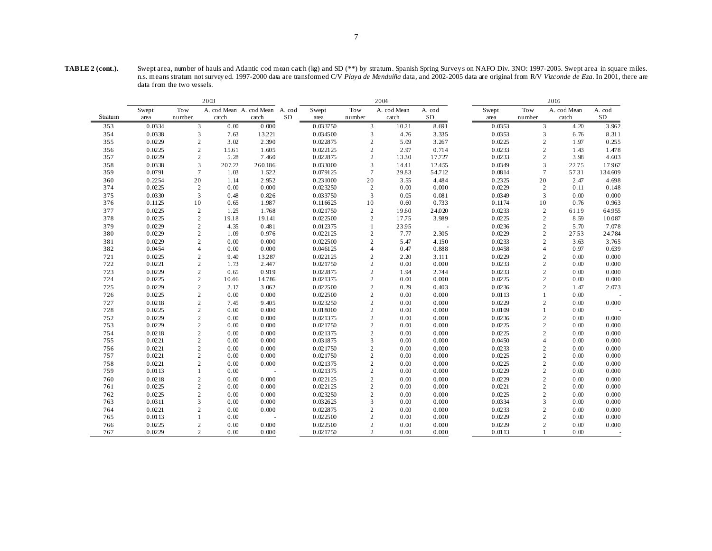| TABLE 2 (cont.). | Swept area, number of hauls and Atlantic cod mean catch (kg) and SD (**) by stratum. Spanish Spring Surveys on NAFO Div. 3NO: 1997-2005. Swept area in square miles.     |
|------------------|--------------------------------------------------------------------------------------------------------------------------------------------------------------------------|
|                  | n.s. means stratum not surveyed. 1997-2000 data are transformed C/V Playa de Menduíña data, and 2002-2005 data are original from R/V Vizconde de Eza. In 2001, there are |
|                  | data from the two vessels.                                                                                                                                               |

|            | 2003             |                              |                                |                |    | 2004<br>2005         |                              |              |                |  |                  |                                |              |            |
|------------|------------------|------------------------------|--------------------------------|----------------|----|----------------------|------------------------------|--------------|----------------|--|------------------|--------------------------------|--------------|------------|
|            | Swept            | Tow                          | A. cod Mean A. cod Mean A. cod |                |    | Swept                | Tow                          | A. cod Mean  | A. cod         |  | Swept            | Tow                            | A. cod Mean  | A. cod     |
| Stratum    | area             | number                       | catch                          | catch          | SD | area                 | number                       | catch        | $\rm SD$       |  | area             | number                         | catch        | ${\rm SD}$ |
| 353        | 0.0334           | 3                            | 0.00                           | 0.000          |    | 0.033750             | 3                            | 10.21        | 8.691          |  | 0.0353           | 3                              | 4.20         | 3.962      |
| 354        | 0.0338           | 3                            | 7.63                           | 13.221         |    | 0.034500             | 3                            | 4.76         | 3.335          |  | 0.0353           | 3                              | 6.76         | 8.311      |
| 355        | 0.0229           | 2                            | 3.02                           | 2.390          |    | 0.022875             | $\overline{2}$               | 5.09         | 3.267          |  | 0.0225           | $\overline{c}$                 | 1.97         | 0.255      |
| 356        | 0.0225           | $\overline{c}$               | 15.61                          | 1.605          |    | 0.022125             | $\overline{2}$               | 2.97         | 0.714          |  | 0.0233           | $\overline{c}$                 | 1.43         | 1.478      |
| 357        | 0.0229           | 2                            | 5.28                           | 7.460          |    | 0.022875             | $\overline{c}$               | 1330         | 17.727         |  | 0.0233           | $\mathbf{2}$                   | 3.98         | 4.603      |
| 358        | 0.0338           | 3                            | 207.22                         | 260.186        |    | 0.033000             | 3                            | 14.41        | 12.455         |  | 0.0349           | 3                              | 22.75        | 17967      |
| 359        | 0.0791           | $7\phantom{.0}$              | 1.03                           | 1.522          |    | 0.079125             | $\overline{7}$               | 29.83        | 54.712         |  | 0.0814           | $\tau$                         | 5731         | 134.609    |
| 360        | 0.2254           | 20                           | 1.14                           | 2.952          |    | 0.231000             | 20                           | 3.55         | 4.484          |  | 0.2325           | 20                             | 2.47         | 4.698      |
| 374        | 0.0225           | 2                            | 0.00                           | 0.000          |    | 0.023250             | $\overline{2}$               | 0.00         | 0.000          |  | 0.0229           | $\overline{2}$                 | 0.11         | 0.148      |
| 375        | 0.0330           | $\overline{3}$               | 0.48                           | 0.826          |    | 0.033750             | 3                            | 0.05         | 0.081          |  | 0.0349           | 3                              | 0.00         | 0.000      |
| 376        | 0.1125           | 10                           | 0.65                           | 1.987          |    | 0.116625             | 10                           | 0.60         | 0.733          |  | 0.1174           | 10                             | 0.76         | 0.963      |
| 377        | 0.0225           | $\overline{2}$               | 1.25                           | 1.768          |    | 0.021750             | $\overline{c}$               | 19.60        | 24.020         |  | 0.0233           | $\overline{2}$                 | 61.19        | 64.955     |
| 378        | 0.0225           | $\overline{c}$               | 19.18                          | 19.141         |    | 0.022500             | $\overline{c}$               | 17.75        | 3.989          |  | 0.0225           | $\sqrt{2}$                     | 8.59         | 10.087     |
| 379        | 0.0229           | 2                            | 4.35                           | 0.481          |    | 0.012375             |                              | 23.95        |                |  | 0.0236           | $\mathbf{2}$                   | 5.70         | 7.078      |
| 380        | 0.0229           | 2                            | 1.09                           | 0.976          |    | 0.022125             | $\overline{2}$               | 7.77         | 2.305          |  | 0.0229           | $\mathbf{2}$                   | 2753         | 24.784     |
| 381        | 0.0229           | $\overline{2}$               | 0.00                           | 0.000          |    | 0.022500             | $\overline{2}$               | 5.47         | 4.150          |  | 0.0233           | $\overline{c}$                 | 3.63         | 3.765      |
| 382        | 0.0454           | $\overline{4}$               | 0.00                           | 0.000          |    | 0.046125             | $\overline{4}$               | 0.47         | 0.888          |  | 0.0458           | $\overline{4}$                 | 0.97         | 0.639      |
| 721        | 0.0225           | $\overline{2}$               | 9.40                           | 13287          |    | 0.022125             | $\overline{c}$               | 2.20         | 3.111          |  | 0.0229           | $\overline{c}$                 | 0.00         | 0.000      |
| 722        | 0.0221           | $\sqrt{2}$                   | 1.73                           | 2.447          |    | 0.021750             | $\sqrt{2}$                   | 0.00         | 0.000          |  | 0.0233           | $\overline{c}$                 | 0.00         | 0.000      |
| 723        | 0.0229           | $\overline{2}$               | 0.65                           | 0.919          |    | 0.022875             | $\overline{2}$               | 1.94         | 2.744          |  | 0.0233           | $\overline{c}$                 | 0.00         | 0.000      |
| 724        | 0.0225           | 2                            | 10.46                          | 14.786         |    | 0.021375             | $\overline{c}$               | 0.00         | 0.000          |  | 0.0225           | $\mathbf{2}$                   | 0.00         | 0.000      |
| 725        | 0.0229           | $\overline{2}$               | 2.17                           | 3.062          |    | 0.022500             | $\overline{c}$               | 0.29         | 0.403          |  | 0.0236           | $\sqrt{2}$                     | 1.47         | 2.073      |
| 726        | 0.0225           | 2                            | 0.00                           | 0.000          |    | 0.022500             | $\overline{2}$               | 0.00         | 0.000          |  | 0.0113           | $\mathbf{1}$                   | 0.00         |            |
| 727        | 0.0218           | $\overline{c}$               | 7.45                           | 9.405          |    | 0.023250             | $\overline{2}$               | 0.00         | 0.000          |  | 0.0229           | $\mathbf{2}$                   | 0.00         | 0.000      |
| 728        | 0.0225           | $\overline{2}$               | 0.00                           | 0.000          |    | 0.018000             | $\overline{2}$               | 0.00         | 0.000          |  | 0.0109           | $\mathbf{1}$                   | 0.00         |            |
| 752        | 0.0229           | $\overline{2}$               | 0.00                           | 0.000          |    | 0.021375             | $\overline{c}$               | 0.00         | 0.000          |  | 0.0236           | $\mathbf{2}$                   | 0.00         | 0.000      |
| 753        | 0.0229           | $\overline{c}$               | 0.00                           | 0.000          |    | 0.021750             | $\overline{2}$               | 0.00         | 0.000          |  | 0.0225           | $\mathbf{2}$                   | 0.00         | 0.000      |
| 754        | 0.0218           | $\overline{2}$               | 0.00                           | 0.000          |    | 0.021375             | $\overline{c}$               | 0.00         | 0.000          |  | 0.0225           | $\overline{c}$                 | 0.00         | 0.000      |
| 755        | 0.0221           | $\overline{2}$               | 0.00                           | 0.000          |    | 0.031875             | 3                            | 0.00         | 0.000          |  | 0.0450           | $\overline{4}$                 | 0.00         | 0.000      |
| 756        | 0.0221           | $\overline{2}$               | 0.00                           | 0.000          |    | 0.021750             | $\overline{2}$               | 0.00         | 0.000          |  | 0.0233           | $\overline{c}$                 | 0.00         | 0.000      |
| 757        | 0.0221           | $\overline{2}$               | 0.00                           | 0.000          |    | 0.021750             | $\overline{2}$               | 0.00         | 0.000          |  | 0.0225           | $\sqrt{2}$                     | 0.00         | 0.000      |
| 758        | 0.0221           | $\overline{2}$               | 0.00                           | 0.000          |    | 0.021375             | $\overline{2}$               | 0.00         | 0.000          |  | 0.0225           | $\sqrt{2}$                     | 0.00         | 0.000      |
| 759        | 0.0113           | $\mathbf{1}$                 | 0.00                           |                |    | 0.021375             | $\overline{2}$               | 0.00         | 0.000          |  | 0.0229           | 2                              | 0.00         | 0.000      |
| 760        | 0.0218           | $\overline{2}$               | 0.00                           | 0.000          |    | 0.022125             | $\overline{c}$               | 0.00         | 0.000          |  | 0.0229           | $\sqrt{2}$                     | 0.00         | 0.000      |
| 761        | 0.0225           | $\overline{c}$               | 0.00                           | 0.000          |    | 0.022125             | $\overline{2}$               | 0.00         | 0.000          |  | 0.0221           | $\mathbf{2}$                   | 0.00         | 0.000      |
| 762        | 0.0225           | $\overline{2}$               | 0.00                           | 0.000          |    | 0.023250             | $\overline{2}$<br>3          | 0.00         | 0.000          |  | 0.0225           | $\mathbf{2}$                   | 0.00         | 0.000      |
| 763        | 0.0311           | 3                            | 0.00                           | 0.000          |    | 0.032625             |                              | 0.00         | 0.000          |  | 0.0334           | 3                              | 0.00         | 0.000      |
| 764        | 0.0221           | $\overline{2}$               | 0.00                           | 0.000          |    | 0.022875             | $\overline{2}$               | 0.00         | 0.000          |  | 0.0233           | $\overline{c}$                 | 0.00         | 0.000      |
| 765        | 0.0113           | 1                            | 0.00                           |                |    | 0.022500             | $\overline{2}$               | 0.00         | 0.000          |  | 0.0229           | $\overline{c}$                 | 0.00         | 0.000      |
| 766<br>767 | 0.0225<br>0.0229 | $\sqrt{2}$<br>$\overline{2}$ | 0.00<br>0.00                   | 0.000<br>0.000 |    | 0.022500<br>0.021750 | $\sqrt{2}$<br>$\overline{2}$ | 0.00<br>0.00 | 0.000<br>0.000 |  | 0.0229<br>0.0113 | $\overline{c}$<br>$\mathbf{1}$ | 0.00<br>0.00 | 0.000      |
|            |                  |                              |                                |                |    |                      |                              |              |                |  |                  |                                |              |            |
|            |                  |                              |                                |                |    |                      |                              |              |                |  |                  |                                |              |            |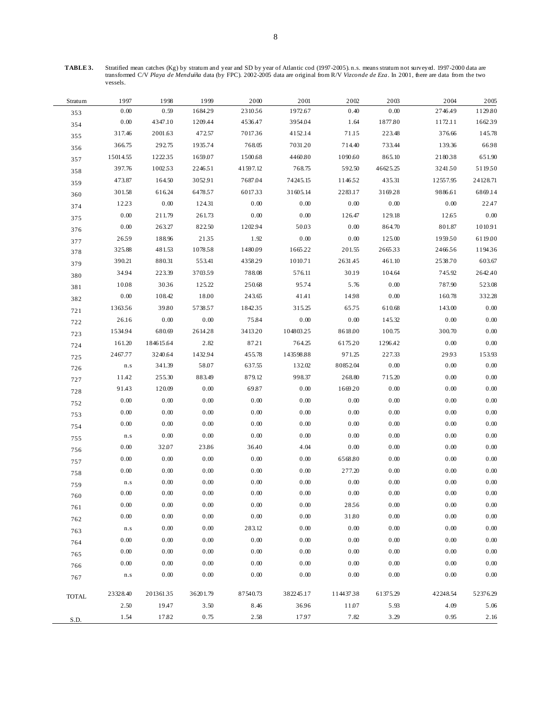**TABLE 3.** Stratified mean catches (Kg) by stratum and year and SD by year of Atlantic cod (1997-2005). n.s. means stratum not surveyed. 1997-2000 data are transformed C/V *Playa de Menduíña* data (by FPC). 2002-2005 data are original from R/V *Vizconde de Eza*. In 2001, there are data from the two vessels.

| Stratum      | 1997                    | 1998      | 1999     | 2000     | 2001      | 2002     | 2003     | 2004     | 2005     |
|--------------|-------------------------|-----------|----------|----------|-----------|----------|----------|----------|----------|
| 353          | 0.00                    | 0.59      | 168429   | 2310.56  | 1972.67   | 0.40     | 0.00     | 2746.49  | 1129.80  |
| 354          | 0.00                    | 4347.10   | 1209.44  | 4536.47  | 3954.04   | 1.64     | 1877.80  | 1172.11  | 1662.39  |
| 355          | 317.46                  | 2001.63   | 472.57   | 701736   | 4152.14   | 71.15    | 223.48   | 376.66   | 145.78   |
| 356          | 366.75                  | 292.75    | 1935.74  | 768.05   | 7031.20   | 714.40   | 733.44   | 139.36   | 66.98    |
| 357          | 15014.55                | 122235    | 1659.07  | 1500.68  | 4460.80   | 1090.60  | 865.10   | 218038   | 651.90   |
| 358          | 397.76                  | 1002.53   | 2246.51  | 41597.12 | 768.75    | 592.50   | 46625.25 | 3241.50  | 511950   |
| 359          | 473.87                  | 164.50    | 3052.91  | 7687.04  | 74245.15  | 1146.52  | 435.31   | 12557.95 | 24128.71 |
| 360          | 301.58                  | 616.24    | 6478.57  | 601733   | 31605.14  | 2283.17  | 3169.28  | 9886.61  | 6869.14  |
| 374          | 12.23                   | 0.00      | 124.31   | 0.00     | 0.00      | 0.00     | 0.00     | 0.00     | 22.47    |
| 375          | $0.00\,$                | 211.79    | 261.73   | 0.00     | 0.00      | 126.47   | 129.18   | 12.65    | $0.00\,$ |
| 376          | $0.00\,$                | 263.27    | 822.50   | 1202.94  | 50.03     | 0.00     | 864.70   | 801.87   | 1010.91  |
| 377          | 2659                    | 188.96    | 2135     | 1.92     | 0.00      | 0.00     | 125.00   | 1959.50  | 6119.00  |
| 378          | 325.88                  | 481.53    | 1078.58  | 1480.09  | 166522    | 201.55   | 266533   | 246656   | 119436   |
| 379          | 390.21                  | 880.31    | 553.41   | 4358.29  | 1010.71   | 2631.45  | 461.10   | 2538.70  | 603.67   |
| 380          | 34.94                   | 223.39    | 370359   | 788.08   | 576.11    | 30.19    | 104.64   | 745.92   | 2642.40  |
| 381          | 10.08                   | 3036      | 125.22   | 250.68   | 95.74     | 5.76     | 0.00     | 787.90   | 523.08   |
| 382          | $0.00\,$                | 108.42    | 18.00    | 243.65   | 41.41     | 14.98    | 0.00     | 160.78   | 332.28   |
| 721          | 136356                  | 39.80     | 5738.57  | 184235   | 315.25    | 65.75    | 610.68   | 143.00   | 0.00     |
| 722          | 26.16                   | 0.00      | 0.00     | 75.84    | $0.00\,$  | $0.00\,$ | 145.32   | 0.00     | 0.00     |
| 723          | 1534.94                 | 680.69    | 2614.28  | 3413.20  | 10480325  | 8618.00  | 100.75   | 300.70   | 0.00     |
| 724          | 161.20                  | 184615.64 | 2.82     | 87.21    | 764.25    | 6175.20  | 1296.42  | 0.00     | 0.00     |
| 725          | 2467.77                 | 3240.64   | 1432.94  | 455.78   | 143598.88 | 971.25   | 227.33   | 29.93    | 153.93   |
| 726          | $\mathbf{n}.\mathbf{s}$ | 341.39    | 58.07    | 637.55   | 132.02    | 80852.04 | 0.00     | 0.00     | 0.00     |
| 727          | 11.42                   | 255.30    | 883.49   | 879.12   | 998.37    | 268.80   | 715.20   | 0.00     | 0.00     |
| 728          | 91.43                   | 120.09    | 0.00     | 69.87    | 0.00      | 166920   | 0.00     | 0.00     | 0.00     |
| 752          | 0.00                    | 0.00      | 0.00     | 0.00     | 0.00      | 0.00     | 0.00     | 0.00     | 0.00     |
| 753          | 0.00                    | 0.00      | 0.00     | 0.00     | 0.00      | 0.00     | 0.00     | 0.00     | 0.00     |
| 754          | 0.00                    | 0.00      | 0.00     | 0.00     | 0.00      | 0.00     | 0.00     | 0.00     | 0.00     |
| 755          | $\mathbf{n}.\mathbf{s}$ | 0.00      | 0.00     | 0.00     | 0.00      | 0.00     | 0.00     | 0.00     | 0.00     |
| 756          | 0.00                    | 32.07     | 23.86    | 36.40    | 4.04      | $0.00\,$ | 0.00     | 0.00     | 0.00     |
| 757          | 0.00                    | 0.00      | 0.00     | 0.00     | 0.00      | 6568.80  | 0.00     | 0.00     | 0.00     |
| 758          | 0.00                    | 0.00      | 0.00     | 0.00     | 0.00      | 277.20   | 0.00     | 0.00     | 0.00     |
| 759          | $\mathbf{n}.\mathbf{s}$ | 0.00      | 0.00     | 0.00     | 0.00      | 0.00     | 0.00     | 0.00     | 0.00     |
| 760          | 0.00                    | 0.00      | 0.00     | 0.00     | 0.00      | 0.00     | 0.00     | 0.00     | 0.00     |
| 761          | 0.00                    | $0.00\,$  | 0.00     | 0.00     | 0.00      | 2856     | $0.00\,$ | 0.00     | 0.00     |
| 762          | $0.00\,$                | 0.00      | 0.00     | $0.00\,$ | $0.00\,$  | 31.80    | 0.00     | 0.00     | 0.00     |
| 763          | $\mathbf{n}.\mathbf{s}$ | 0.00      | 0.00     | 283.12   | 0.00      | 0.00     | 0.00     | 0.00     | 0.00     |
| 764          | 0.00                    | 0.00      | 0.00     | 0.00     | 0.00      | 0.00     | 0.00     | 0.00     | 0.00     |
| 765          | 0.00                    | 0.00      | 0.00     | 0.00     | 0.00      | $0.00\,$ | 0.00     | 0.00     | 0.00     |
| 766          | 0.00                    | 0.00      | 0.00     | 0.00     | 0.00      | 0.00     | 0.00     | 0.00     | 0.00     |
| 767          | $\mathbf{n}.\mathbf{s}$ | 0.00      | 0.00     | 0.00     | 0.00      | 0.00     | 0.00     | 0.00     | 0.00     |
|              |                         |           |          |          |           |          |          |          |          |
| <b>TOTAL</b> | 23328.40                | 20136135  | 36201.79 | 87540.73 | 382245.17 | 11443738 | 61375.29 | 42248.54 | 52376.29 |
|              | 2.50                    | 19.47     | 3.50     | 8.46     | 36.96     | 11.07    | 5.93     | 4.09     | 5.06     |
| S.D.         | 1.54                    | 17.82     | 0.75     | 2.58     | 17.97     | 7.82     | 3.29     | 0.95     | 2.16     |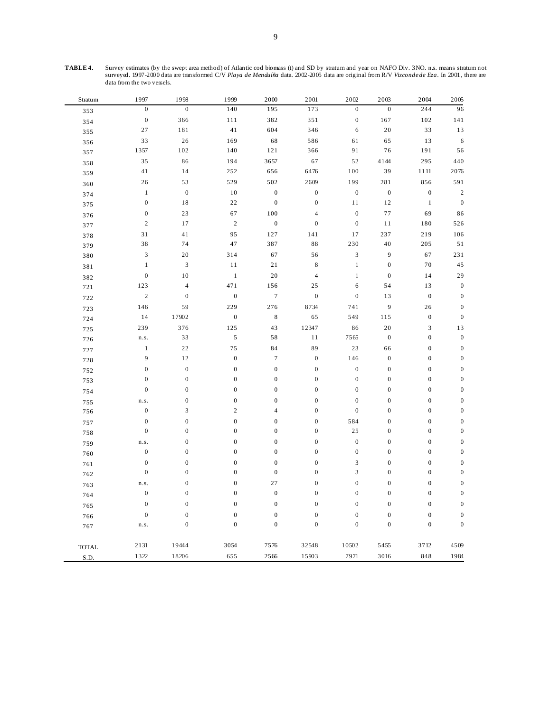**TABLE 4.** Survey estimates (by the swept area method) of Atlantic cod biomass (t) and SD by stratum and year on NAFO Div. 3NO. n.s. means stratum not surveyed. 1997-2000 data are transformed C/V *Playa de Menduíña* data. 2002-2005 data are original from R/V *Vizconde de Eza*. In 2001, there are data from the two vessels.

| Stratum      | 1997             | 1998                        | 1999             | 2000             | 2001             | 2002                        | 2003             | 2004             | 2005             |
|--------------|------------------|-----------------------------|------------------|------------------|------------------|-----------------------------|------------------|------------------|------------------|
| 353          | $\boldsymbol{0}$ | $\boldsymbol{0}$            | 140              | 195              | 173              | $\boldsymbol{0}$            | $\boldsymbol{0}$ | 244              | 96               |
| 354          | $\boldsymbol{0}$ | 366                         | 111              | 382              | 351              | $\boldsymbol{0}$            | 167              | 102              | 141              |
| 355          | 27               | 181                         | 41               | 604              | 346              | 6                           | $20\,$           | 33               | 13               |
| 356          | 33               | $26\,$                      | 169              | 68               | 586              | 61                          | 65               | 13               | 6                |
| 357          | 1357             | 102                         | 140              | 121              | 366              | 91                          | $76\,$           | 191              | 56               |
| 358          | 35               | 86                          | 194              | 3657             | 67               | 52                          | 4144             | 295              | 440              |
| 359          | 41               | 14                          | 252              | 656              | 6476             | 100                         | 39               | 1111             | 2076             |
| 360          | 26               | 53                          | 529              | 502              | 2609             | 199                         | 281              | 856              | 591              |
| 374          | $\mathbf{1}$     | $\boldsymbol{0}$            | 10               | $\boldsymbol{0}$ | $\boldsymbol{0}$ | $\boldsymbol{0}$            | $\boldsymbol{0}$ | $\boldsymbol{0}$ | $\boldsymbol{2}$ |
| 375          | $\boldsymbol{0}$ | 18                          | $2\sqrt{2}$      | $\boldsymbol{0}$ | $\boldsymbol{0}$ | 11                          | $12\,$           | $\,1$            | $\boldsymbol{0}$ |
| 376          | $\boldsymbol{0}$ | 23                          | 67               | 100              | $\overline{4}$   | $\boldsymbol{0}$            | 77               | 69               | 86               |
| 377          | $\sqrt{2}$       | 17                          | $\sqrt{2}$       | $\boldsymbol{0}$ | $\boldsymbol{0}$ | $\boldsymbol{0}$            | 11               | 180              | 526              |
| 378          | 31               | 41                          | 95               | 127              | 141              | 17                          | 237              | 219              | 106              |
| 379          | 38               | 74                          | 47               | 387              | 88               | 230                         | 40               | 205              | 51               |
| 380          | 3                | 20                          | 314              | 67               | 56               | $\ensuremath{\mathfrak{Z}}$ | 9                | 67               | 231              |
| 381          | $\,1$            | $\ensuremath{\mathfrak{Z}}$ | 11               | 21               | $\,$ 8 $\,$      | $\,1$                       | $\boldsymbol{0}$ | 70               | 45               |
| 382          | $\boldsymbol{0}$ | 10                          | $\mathbf{1}$     | 20               | $\overline{4}$   | $\mathbf{1}$                | $\boldsymbol{0}$ | 14               | 29               |
| 721          | 123              | $\overline{4}$              | 471              | 156              | $25\,$           | $\sqrt{6}$                  | 54               | 13               | $\boldsymbol{0}$ |
| 722          | $\sqrt{2}$       | $\boldsymbol{0}$            | $\boldsymbol{0}$ | $\boldsymbol{7}$ | $\boldsymbol{0}$ | $\boldsymbol{0}$            | 13               | $\boldsymbol{0}$ | $\boldsymbol{0}$ |
| 723          | 146              | 59                          | 229              | 276              | 8734             | 741                         | 9                | 26               | $\boldsymbol{0}$ |
| 724          | 14               | 17902                       | $\boldsymbol{0}$ | $\,$ 8 $\,$      | 65               | 549                         | 115              | $\boldsymbol{0}$ | $\boldsymbol{0}$ |
| 725          | 239              | 376                         | 125              | 43               | 12347            | 86                          | 20               | 3                | 13               |
| 726          | n.s.             | 33                          | $\sqrt{5}$       | 58               | $1\,1$           | 7565                        | $\boldsymbol{0}$ | $\boldsymbol{0}$ | $\boldsymbol{0}$ |
| 727          | $\mathbf{1}$     | $2\sqrt{2}$                 | 75               | 84               | 89               | 23                          | 66               | $\boldsymbol{0}$ | $\boldsymbol{0}$ |
| 728          | 9                | 12                          | $\boldsymbol{0}$ | $\overline{7}$   | $\boldsymbol{0}$ | 146                         | $\boldsymbol{0}$ | $\boldsymbol{0}$ | $\boldsymbol{0}$ |
| 752          | $\boldsymbol{0}$ | $\boldsymbol{0}$            | $\boldsymbol{0}$ | $\boldsymbol{0}$ | $\boldsymbol{0}$ | $\boldsymbol{0}$            | $\boldsymbol{0}$ | $\boldsymbol{0}$ | $\boldsymbol{0}$ |
| 753          | $\mathbf{0}$     | $\boldsymbol{0}$            | $\boldsymbol{0}$ | $\boldsymbol{0}$ | $\boldsymbol{0}$ | $\boldsymbol{0}$            | $\boldsymbol{0}$ | $\boldsymbol{0}$ | $\boldsymbol{0}$ |
| 754          | $\boldsymbol{0}$ | $\boldsymbol{0}$            | $\boldsymbol{0}$ | $\boldsymbol{0}$ | $\boldsymbol{0}$ | $\boldsymbol{0}$            | $\boldsymbol{0}$ | $\boldsymbol{0}$ | $\boldsymbol{0}$ |
| 755          | n.s.             | $\boldsymbol{0}$            | $\boldsymbol{0}$ | $\boldsymbol{0}$ | $\boldsymbol{0}$ | $\boldsymbol{0}$            | $\boldsymbol{0}$ | $\boldsymbol{0}$ | $\boldsymbol{0}$ |
| 756          | $\boldsymbol{0}$ | $\mathfrak{Z}$              | $\overline{c}$   | $\overline{4}$   | $\boldsymbol{0}$ | $\boldsymbol{0}$            | $\boldsymbol{0}$ | $\boldsymbol{0}$ | $\boldsymbol{0}$ |
| 757          | $\mathbf{0}$     | $\boldsymbol{0}$            | $\mathbf{0}$     | $\boldsymbol{0}$ | $\boldsymbol{0}$ | 584                         | $\boldsymbol{0}$ | $\boldsymbol{0}$ | $\boldsymbol{0}$ |
| 758          | $\boldsymbol{0}$ | $\boldsymbol{0}$            | $\boldsymbol{0}$ | $\boldsymbol{0}$ | $\boldsymbol{0}$ | 25                          | $\boldsymbol{0}$ | $\boldsymbol{0}$ | $\boldsymbol{0}$ |
| 759          | n.s.             | $\boldsymbol{0}$            | $\boldsymbol{0}$ | $\boldsymbol{0}$ | $\boldsymbol{0}$ | $\boldsymbol{0}$            | $\boldsymbol{0}$ | $\boldsymbol{0}$ | $\boldsymbol{0}$ |
| 760          | $\boldsymbol{0}$ | $\boldsymbol{0}$            | $\boldsymbol{0}$ | $\boldsymbol{0}$ | $\boldsymbol{0}$ | $\boldsymbol{0}$            | $\boldsymbol{0}$ | $\boldsymbol{0}$ | $\boldsymbol{0}$ |
| 761          | $\boldsymbol{0}$ | $\boldsymbol{0}$            | $\boldsymbol{0}$ | $\boldsymbol{0}$ | $\boldsymbol{0}$ | $\mathfrak{Z}$              | $\boldsymbol{0}$ | $\boldsymbol{0}$ | $\boldsymbol{0}$ |
| 762          | $\boldsymbol{0}$ | $\boldsymbol{0}$            | $\boldsymbol{0}$ | $\boldsymbol{0}$ | $\boldsymbol{0}$ | $\ensuremath{\mathfrak{Z}}$ | $\boldsymbol{0}$ | $\boldsymbol{0}$ | $\boldsymbol{0}$ |
| 763          | n.s.             | $\boldsymbol{0}$            | $\mathbf{0}$     | 27               | $\boldsymbol{0}$ | $\boldsymbol{0}$            | $\boldsymbol{0}$ | $\boldsymbol{0}$ | $\boldsymbol{0}$ |
| 764          | $\boldsymbol{0}$ | $\boldsymbol{0}$            | $\boldsymbol{0}$ | $\boldsymbol{0}$ | $\boldsymbol{0}$ | $\boldsymbol{0}$            | $\boldsymbol{0}$ | $\boldsymbol{0}$ | $\boldsymbol{0}$ |
| 765          | $\boldsymbol{0}$ | $\boldsymbol{0}$            | $\boldsymbol{0}$ | $\boldsymbol{0}$ | $\boldsymbol{0}$ | $\boldsymbol{0}$            | $\boldsymbol{0}$ | $\boldsymbol{0}$ | $\boldsymbol{0}$ |
| 766          | $\boldsymbol{0}$ | $\boldsymbol{0}$            | $\boldsymbol{0}$ | $\boldsymbol{0}$ | $\boldsymbol{0}$ | $\boldsymbol{0}$            | $\boldsymbol{0}$ | $\boldsymbol{0}$ | $\boldsymbol{0}$ |
| 767          | n.s.             | $\boldsymbol{0}$            | $\mathbf{0}$     | $\boldsymbol{0}$ | $\boldsymbol{0}$ | $\boldsymbol{0}$            | $\boldsymbol{0}$ | $\boldsymbol{0}$ | $\boldsymbol{0}$ |
|              | 2131             | 19444                       | 3054             | 7576             | 32548            | 10502                       | 5455             | 3712             | 4509             |
| <b>TOTAL</b> | 1322             | 18206                       | 655              | 2566             | 15903            | 7971                        | 3016             | 848              | 1984             |
| S.D.         |                  |                             |                  |                  |                  |                             |                  |                  |                  |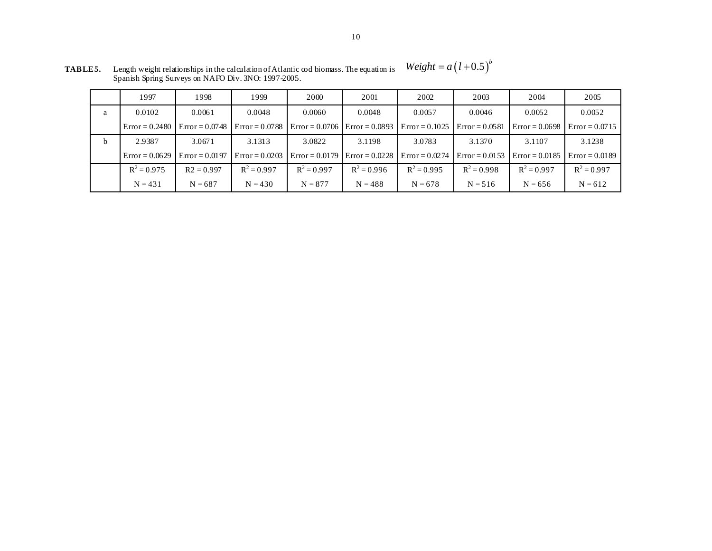|              | 1997             | 1998             | 1999             | 2000          | 2001                              | 2002             | 2003             | 2004             | 2005             |
|--------------|------------------|------------------|------------------|---------------|-----------------------------------|------------------|------------------|------------------|------------------|
| a            | 0.0102           | 0.0061           | 0.0048           | 0.0060        | 0.0048                            | 0.0057           | 0.0046           | 0.0052           | 0.0052           |
|              | $Error = 0.2480$ | $Error = 0.0748$ | $Error = 0.0788$ |               | $Error = 0.0706$ $Error = 0.0893$ | $Error = 0.1025$ | $Error = 0.0581$ | $Error = 0.0698$ | $Error = 0.0715$ |
| <sub>b</sub> | 2.9387           | 3.0671           | 3.1313           | 3.0822        | 3.1198                            | 3.0783           | 3.1370           | 3.1107           | 3.1238           |
|              | $Error = 0.0629$ | $Error = 0.0197$ | $Error = 0.0203$ |               | $Error = 0.0179$ Error = 0.0228   | $Error = 0.0274$ | $Error = 0.0153$ | $Error = 0.0185$ | $Error = 0.0189$ |
|              | $R^2 = 0.975$    | $R2 = 0.997$     | $R^2 = 0.997$    | $R^2 = 0.997$ | $R^2 = 0.996$                     | $R^2 = 0.995$    | $R^2 = 0.998$    | $R^2 = 0.997$    | $R^2 = 0.997$    |
|              | $N = 431$        | $N = 687$        | $N = 430$        | $N = 877$     | $N = 488$                         | $N = 678$        | $N = 516$        | $N = 656$        | $N = 612$        |

**TABLE 5.** Length weight relationships in the calculation of Atlantic cod biomass. The equation is Spanish Spring Surveys on NAFO Div. 3NO: 1997-2005.  $Weight = a(l+0.5)^b$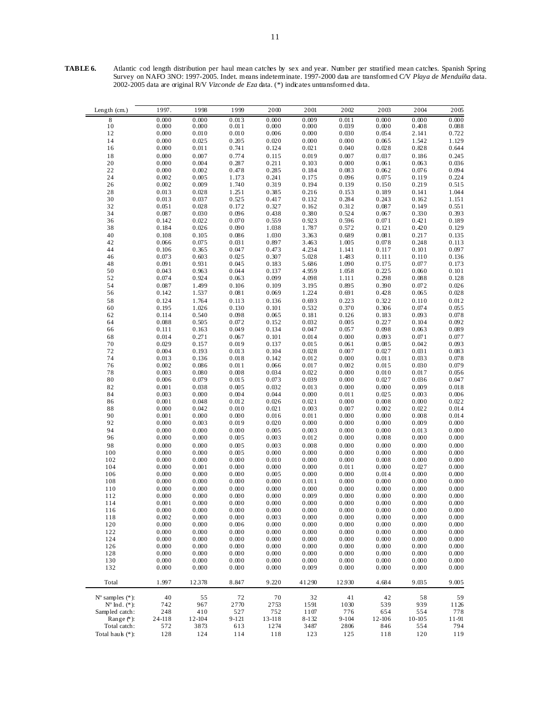| TABLE 6. | Atlantic cod length distribution per haul mean catches by sex and year. Number per stratified mean catches. Spanish Spring |
|----------|----------------------------------------------------------------------------------------------------------------------------|
|          | Survey on NAFO 3NO: 1997-2005. Indet. means indeterminate. 1997-2000 data are transformed C/V Playa de Menduíña data.      |
|          | 2002-2005 data are original R/V Vizconde de Eza data. $(*)$ indicates untransformed data.                                  |
|          |                                                                                                                            |

| Length (cm.)                                  | 1997.          | 1998           | 1999                                          | 2000                                          | 2001                                          | 2002                                          | 2003                  | 2004           | 2005                                          |
|-----------------------------------------------|----------------|----------------|-----------------------------------------------|-----------------------------------------------|-----------------------------------------------|-----------------------------------------------|-----------------------|----------------|-----------------------------------------------|
| $\begin{smallmatrix} 8\\10 \end{smallmatrix}$ | 0.000          | 0.000          | $\begin{array}{c} 0.013 \\ 0.011 \end{array}$ | $\begin{array}{c} 0.000 \\ 0.000 \end{array}$ | $\begin{array}{c} 0.009 \\ 0.000 \end{array}$ | $\begin{array}{c} 0.011 \\ 0.039 \end{array}$ | $\frac{0.000}{0.000}$ | 0.000          | $\begin{array}{c} 0.000 \\ 0.088 \end{array}$ |
| 12                                            | 0.000<br>0.000 | 0.000<br>0.010 | $0.010\,$                                     | $0.006\,$                                     | 0.000                                         | 0.030                                         | 0.054                 | 0.408<br>2.141 | 0.722                                         |
| 14                                            | 0.000          | 0.025          | 0.205                                         | $0.020\,$                                     | 0.000                                         | 0.000                                         | 0.065                 | 1.542          | 1.129                                         |
| 16                                            | 0.000          | 0.011          | 0.741                                         | 0.124                                         | 0.021                                         | 0.040                                         | 0.028                 | 0.828          | 0.644                                         |
| $1\,8$                                        | 0.000          | 0.007          | 0.774                                         | 0.115                                         | 0.019                                         | 0.007                                         | 0.037                 | 0.186          | 0.245                                         |
| 20                                            | 0.000          | 0.004          | 0.287                                         | 0.211                                         | 0.103                                         | 0.000                                         | 0.061                 | 0.063          | $0.03\,6$                                     |
| 22                                            | 0.000          | 0.002          | 0.478                                         | 0.285                                         | 0.184                                         | 0.083                                         | 0.062                 | $0.076\,$      | 0.094                                         |
| 24<br>26                                      | 0.002<br>0.002 | 0.005<br>0.009 | 1.173<br>1.740                                | 0.241<br>0.319                                | 0.175<br>0.194                                | 0.096<br>0.139                                | 0.075<br>0.150        | 0.119<br>0.219 | 0.224<br>0.515                                |
| 28                                            | 0.013          | 0.028          | 1.251                                         | 0.385                                         | 0.216                                         | 0.153                                         | 0.189                 | 0.141          | 1.044                                         |
| 30                                            | 0.013          | 0.037          | 0.525                                         | 0.417                                         | 0.132                                         | 0.284                                         | 0.243                 | 0.162          | 1.151                                         |
| 32                                            | 0.051          | 0.028          | 0.172                                         | 0.327                                         | 0.162                                         | 0.312                                         | 0.087                 | 0.149          | 0.551                                         |
| 34                                            | 0.087          | 0.030          | 0.096<br>0.070                                | 0.438                                         | 0.380                                         | 0.524                                         | 0.067                 | 0.330          | 0.393                                         |
| 36<br>38                                      | 0.142<br>0.184 | 0.022<br>0.026 | 0.090                                         | 0.559<br>1.038                                | 0.923<br>1.787                                | 0.596<br>0.572                                | 0.071<br>0.121        | 0.421<br>0.420 | 0.189<br>0.129                                |
| 40                                            | 0.108          | 0.105          | 0.086                                         | 1.030                                         | 3.363                                         | 0.689                                         | 0.081                 | 0.217          | 0.135                                         |
| 42                                            | 0.066          | 0.075          | 0.031                                         | 0.897                                         | 3.463                                         | 1.005                                         | 0.078                 | 0.248          | 0.113                                         |
| 44                                            | 0.106          | 0.365          | 0.047                                         | 0.473                                         | 4.234                                         | 1.141                                         | 0.117                 | 0.101          | 0.097                                         |
| 46                                            | 0.073<br>0.091 | 0.603          | 0.025                                         | 0.307                                         | 5.028                                         | 1.483<br>1.090                                | 0.111                 | 0.110          | 0.136                                         |
| 48<br>50                                      | 0.043          | 0.931<br>0.963 | 0.045<br>0.044                                | 0.183<br>0.137                                | 5.686<br>4.959                                | 1.058                                         | 0.175<br>0.225        | 0.077<br>0.060 | 0.173<br>0.101                                |
| 52                                            | 0.074          | 0.924          | 0.063                                         | 0.099                                         | 4.098                                         | 1.111                                         | 0.298                 | $0.088\,$      | 0.128                                         |
| 54                                            | 0.087          | 1.499          | 0.106                                         | 0.109                                         | 3.195                                         | 0.895                                         | 0.390                 | 0.072          | 0.026                                         |
| 56                                            | 0.142          | 1.537          | 0.081                                         | 0.069                                         | 1.224                                         | 0.691                                         | 0.428                 | 0.065          | 0.028                                         |
| 58                                            | 0.124          | 1.764          | 0.113                                         | 0.136                                         | 0.693                                         | 0.223                                         | 0.322                 | 0.110          | 0.012                                         |
| 60<br>62                                      | 0.195<br>0.114 | 1.026<br>0.540 | 0.130<br>0.098                                | 0.101                                         | 0.532<br>0.181                                | 0.370<br>0.126                                | 0.306                 | 0.074<br>0.093 | $0.05\,5$<br>0.078                            |
| 64                                            | 0.088          | 0.505          | 0.072                                         | 0.065<br>0.152                                | 0.032                                         | 0.005                                         | 0.183<br>0.227        | 0.104          | 0.092                                         |
| 66                                            | 0.111          | 0.163          | 0.049                                         | 0.134                                         | 0.047                                         | 0.057                                         | 0.098                 | 0.063          | 0.089                                         |
| 68                                            | 0.014          | 0.271          | 0.067                                         | 0.101                                         | 0.014                                         | 0.000                                         | 0.093                 | 0.071          | 0.077                                         |
| $70\,$                                        | 0.029          | 0.157          | 0.019                                         | 0.137                                         | 0.015                                         | 0.061                                         | 0.085                 | 0.042          | 0.093                                         |
| 72                                            | 0.004<br>0.013 | 0.193<br>0.136 | $0.013\,$<br>$0.01\,8$                        | 0.104<br>0.142                                | 0.028<br>0.012                                | 0.007<br>0.000                                | 0.027<br>0.011        | 0.031<br>0.033 | 0.083<br>0.078                                |
| 74<br>76                                      | 0.002          | 0.086          | 0.011                                         | 0.066                                         | 0.017                                         | 0.002                                         | 0.015                 | 0.030          | 0.079                                         |
| 78                                            | 0.003          | 0.080          | $0.008\,$                                     | 0.034                                         | 0.022                                         | 0.000                                         | $0.010\,$             | $0.017\,$      | 0.056                                         |
| 80                                            | 0.006          | 0.079          | 0.015                                         | 0.073                                         | 0.039                                         | 0.000                                         | 0.027                 | 0.036          | 0.047                                         |
| 82                                            | 0.001          | 0.038          | 0.005                                         | 0.032                                         | 0.013                                         | 0.000                                         | 0.000                 | 0.009          | $0.01\,8$                                     |
| 84                                            | 0.003          | 0.000          | 0.004                                         | 0.044                                         | 0.000                                         | $0.01\,1$                                     | 0.025                 | 0.003          | $0.006\,$                                     |
| 86<br>$\bf 88$                                | 0.001<br>0.000 | 0.048<br>0.042 | $0.012\,$<br>$0.010\,$                        | 0.026<br>0.021                                | 0.021<br>0.003                                | 0.000<br>0.007                                | 0.008<br>0.002        | 0.000<br>0.022 | 0.022<br>0.014                                |
| 90                                            | 0.001          | 0.000          | 0.000                                         | 0.016                                         | 0.011                                         | 0.000                                         | 0.000                 | 0.008          | 0.014                                         |
| 92                                            | 0.000          | 0.003          | 0.019                                         | 0.020                                         | 0.000                                         | 0.000                                         | 0.000                 | 0.009          | 0.000                                         |
| 94                                            | 0.000          | 0.000          | 0.000                                         | 0.005                                         | 0.003                                         | 0.000                                         | 0.000                 | $0.013\,$      | 0.000                                         |
| 96                                            | 0.000          | 0.000          | 0.005                                         | 0.003                                         | 0.012                                         | 0.000                                         | 0.008                 | 0.000          | $0.000\,$                                     |
| 98<br>100                                     | 0.000<br>0.000 | 0.000<br>0.000 | 0.005<br>0.005                                | 0.003<br>$0.000\,$                            | 0.008<br>0.000                                | 0.000<br>0.000                                | 0.000<br>0.000        | 0.000<br>0.000 | 0.000<br>0.000                                |
| 102                                           | 0.000          | 0.000          | 0.000                                         | 0.010                                         | 0.000                                         | 0.000                                         | 0.008                 | 0.000          | 0.000                                         |
| 104                                           | 0.000          | 0.001          | 0.000                                         | 0.000                                         | 0.000                                         | $0.01\,1$                                     | 0.000                 | 0.027          | 0.000                                         |
| 106                                           | 0.000          | 0.000          | 0.000                                         | 0.005                                         | 0.000                                         | 0.000                                         | 0.014                 | 0.000          | 0.000                                         |
| $108\,$                                       | 0.000          | 0.000          | 0.000                                         | $0.000\,$                                     | 0.011                                         | 0.000                                         | 0.000                 | 0.000          | 0.000                                         |
| $110\,$<br>112                                | 0.000<br>0.000 | 0.000<br>0.000 | 0.000<br>0.000                                | 0.000<br>0.000                                | 0.000<br>0.009                                | 0.000<br>0.000                                | 0.000<br>0.000        | 0.000<br>0.000 | 0.000<br>0.000                                |
| 114                                           | 0.001          | 0.000          | 0.000                                         | 0.000                                         | 0.000                                         | 0.000                                         | 0.000                 | 0.000          | 0.000                                         |
| 116                                           | 0.000          | 0.000          | 0.000                                         | 0.000                                         | 0.000                                         | 0.000                                         | 0.000                 | 0.000          | 0.000                                         |
| 118                                           | 0.002          | 0.000          | 0.000                                         | 0.003                                         | 0.000                                         | 0.000                                         | 0.000                 | 0.000          | 0.000                                         |
| 120                                           | 0.000          | 0.000          | 0.006                                         | 0.000                                         | 0.000                                         | 0.000                                         | 0.000                 | 0.000          | 0.000                                         |
| 122<br>124                                    | 0.000<br>0.000 | 0.000<br>0.000 | 0.000<br>0.000                                | 0.000<br>0.000                                | 0.000<br>0.000                                | 0.000<br>0.000                                | 0.000<br>0.000        | 0.000<br>0.000 | 0.000<br>0.000                                |
| 126                                           | 0.000          | 0.000          | 0.000                                         | 0.000                                         | 0.000                                         | 0.000                                         | 0.000                 | 0.000          | 0.000                                         |
| 128                                           | 0.000          | 0.000          | 0.000                                         | 0.000                                         | 0.000                                         | 0.000                                         | 0.000                 | 0.000          | 0.000                                         |
| 130                                           | 0.000          | 0.000          | 0.000                                         | 0.000                                         | 0.000                                         | 0.000                                         | 0.000                 | 0.000          | 0.000                                         |
| 132                                           | 0.000          | 0.000          | 0.000                                         | 0.000                                         | 0.009                                         | 0.000                                         | 0.000                 | 0.000          | 0.000                                         |
| Total                                         | 1.997          | 12378          | 8.847                                         | 9.220                                         | 41290                                         | 12.930                                        | 4.684                 | 9.035          | 9.005                                         |
| $N^{\circ}$ samples $(*)$ :                   | 40             | 55             | 72                                            | 70                                            | 32                                            | 41                                            | 42                    | 58             | 59                                            |
| $N^{\circ}$ Ind. $(*)$ :                      | 742            | 967            | 2770                                          | 2753                                          | 1591                                          | 1030                                          | 539                   | 939            | 1126                                          |
| Sampled catch:                                | 248            | 410            | 527                                           | 752                                           | 1107                                          | 776                                           | 654                   | 554            | 778                                           |
| Range $(*)$ :                                 | 24-118         | 12-104         | $9 - 121$                                     | 13-118                                        | 8-132                                         | $9 - 104$                                     | 12-106                | 10-105         | 11-91                                         |
| Total catch:                                  | 572            | 3873           | 613                                           | 1274                                          | 3487                                          | 2806                                          | 846                   | 554            | 794                                           |
| Total hauk (*):                               | 128            | 124            | 114                                           | 118                                           | 123                                           | 125                                           | 118                   | 120            | 119                                           |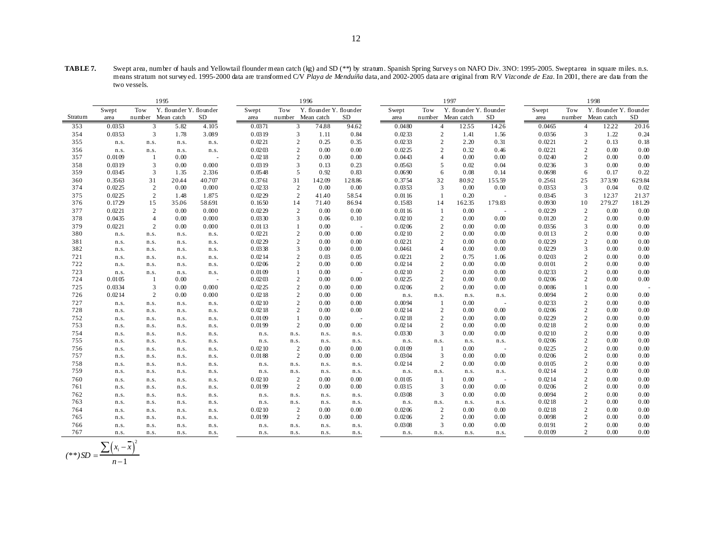**TABLE 7.** Swept area, number of hauls and Yellowtail flounder mean catch (kg) and SD (\*\*) by stratum. Spanish Spring Survey s on NAFO Div. 3NO: 1995-2005. Swept area in square miles. n.s. means stratum not survey ed. 1995-2000 data are transformed C/V *Playa de Menduíña* data, and 2002-2005 data are original from R/V *Vizconde de Eza*. In 2001, there are data from the two vessels.

|         |        |                | 1995                    |        |        |                   | 1996                    |                          |        |                | 1997                    |        |        | 1998           |                         |        |  |
|---------|--------|----------------|-------------------------|--------|--------|-------------------|-------------------------|--------------------------|--------|----------------|-------------------------|--------|--------|----------------|-------------------------|--------|--|
|         | Swept  | Tow            | Y. flounder Y. flounder |        | Swept  | Tow               | Y. flounder Y. flounder |                          | Swept  | Tow            | Y. flounder Y. flounder |        | Swept  | Tow            | Y. flounder Y. flounder |        |  |
| Stratum | area   |                | number Mean catch       | SD     | area   | number Mean catch |                         | SD                       | area   |                | number Mean catch       | SD     | area   |                | number Mean catch       | SD     |  |
| 353     | 0.0353 | 3              | 5.82                    | 4.105  | 0.0371 | 3                 | 74.88                   | 94.62                    | 0.0480 | $\overline{4}$ | 1255                    | 14.26  | 0.0465 | $\overline{4}$ | 12.22                   | 20.16  |  |
| 354     | 0.0353 | 3              | 1.78                    | 3.089  | 0.0319 | 3                 | 1.11                    | 0.84                     | 0.0233 | $\overline{2}$ | 1.41                    | 1.56   | 0.0356 | 3              | 1.22                    | 0.24   |  |
| 355     | n.s.   | n.s.           | n.s.                    | n.s.   | 0.0221 | $\overline{c}$    | 0.25                    | 0.35                     | 0.0233 | $\overline{2}$ | 2.20                    | 0.31   | 0.0221 | $\overline{c}$ | 0.13                    | 0.18   |  |
| 356     | n.s.   | n.s.           | n.s.                    | n.s.   | 0.0203 | $\overline{c}$    | 0.00                    | 0.00                     | 0.0225 | $\overline{2}$ | 0.32                    | 0.46   | 0.0221 | $\overline{c}$ | 0.00                    | 0.00   |  |
| 357     | 0.0109 | -1             | 0.00                    | $\sim$ | 0.0218 | $\overline{c}$    | 0.00                    | 0.00                     | 0.0443 | $\overline{4}$ | 0.00                    | 0.00   | 0.0240 | $\overline{c}$ | 0.00                    | 0.00   |  |
| 358     | 0.0319 | $\overline{3}$ | 0.00                    | 0.000  | 0.0319 | 3                 | 0.13                    | 0.23                     | 0.0563 | 5              | 0.02                    | 0.04   | 0.0236 | 3              | 0.00                    | 0.00   |  |
| 359     | 0.0345 | 3              | 1.35                    | 2.336  | 0.0548 | 5                 | 0.92                    | 0.83                     | 0.0690 | 6              | 0.08                    | 0.14   | 0.0698 | 6              | 0.17                    | 0.22   |  |
| 360     | 0.3563 | 31             | 20.44                   | 40.707 | 0.3761 | 31                | 142.09                  | 128.86                   | 0.3754 | 32             | 80.92                   | 155.59 | 0.2561 | 25             | 373.90                  | 629.84 |  |
| 374     | 0.0225 | 2              | 0.00                    | 0.000  | 0.0233 | 2                 | 0.00                    | 0.00                     | 0.0353 | 3              | 0.00                    | 0.00   | 0.0353 | 3              | 0.04                    | 0.02   |  |
| 375     | 0.0225 | 2              | 1.48                    | 1.875  | 0.0229 | $\overline{2}$    | 41.40                   | 5854                     | 0.0116 |                | 0.20                    |        | 0.0345 | 3              | 1237                    | 2137   |  |
| 376     | 0.1729 | 15             | 35.06                   | 58.691 | 0.1650 | 14                | 71.40                   | 86.94                    | 0.1583 | 14             | 162.35                  | 179.83 | 0.0930 | 10             | 279.27                  | 181.29 |  |
| 377     | 0.0221 | $\overline{2}$ | 0.00                    | 0.000  | 0.0229 | 2                 | 0.00                    | 0.00                     | 0.0116 | $\mathbf{1}$   | 0.00                    |        | 0.0229 | 2              | 0.00                    | 0.00   |  |
| 378     | 0.0435 | $\overline{4}$ | 0.00                    | 0.000  | 0.0330 | 3                 | 0.06                    | 0.10                     | 0.0210 | $\overline{2}$ | 0.00                    | 0.00   | 0.0120 | $\overline{c}$ | 0.00                    | 0.00   |  |
| 379     | 0.0221 | 2              | 0.00                    | 0.000  | 0.0113 |                   | 0.00                    |                          | 0.0206 | $\overline{2}$ | 0.00                    | 0.00   | 0.0356 | 3              | 0.00                    | 0.00   |  |
| 380     | n.s.   | n.s.           | n.s.                    | n.s.   | 0.0221 | $\overline{c}$    | 0.00                    | 0.00                     | 0.0210 | $\overline{2}$ | 0.00                    | 0.00   | 0.0113 | $\overline{c}$ | 0.00                    | 0.00   |  |
| 381     | n.s.   | n.s.           | n.s.                    | n.s.   | 0.0229 | $\overline{2}$    | 0.00                    | 0.00                     | 0.0221 | $\overline{c}$ | 0.00                    | 0.00   | 0.0229 | $\overline{c}$ | 0.00                    | 0.00   |  |
| 382     | n.s.   | n.s.           | n.s.                    | n.s.   | 0.0338 | 3                 | 0.00                    | 0.00                     | 0.0461 | $\overline{4}$ | 0.00                    | 0.00   | 0.0229 | 3              | 0.00                    | 0.00   |  |
| 721     | n.s.   | n.s.           | n.s.                    | n.s.   | 0.0214 | $\overline{2}$    | 0.03                    | 0.05                     | 0.0221 | $\overline{2}$ | 0.75                    | 1.06   | 0.0203 | $\overline{2}$ | 0.00                    | 0.00   |  |
| 722     | n.s.   | n.s.           | n.s.                    | n.s.   | 0.0206 | $\overline{c}$    | 0.00                    | 0.00                     | 0.0214 | $\overline{2}$ | 0.00                    | 0.00   | 0.0101 | $\overline{c}$ | 0.00                    | 0.00   |  |
| 723     | n.s.   | n.s.           | n.s.                    | n.s.   | 0.0109 |                   | 0.00                    |                          | 0.0210 | $\overline{2}$ | 0.00                    | 0.00   | 0.0233 | 2              | 0.00                    | 0.00   |  |
| 724     | 0.0105 | -1             | 0.00                    | $\sim$ | 0.0203 | 2                 | 0.00                    | 0.00                     | 0.0225 | $\overline{2}$ | 0.00                    | 0.00   | 0.0206 | $\overline{c}$ | 0.00                    | 0.00   |  |
| 725     | 0.0334 | 3              | 0.00                    | 0.000  | 0.0225 | $\overline{2}$    | 0.00                    | 0.00                     | 0.0206 | $\overline{2}$ | 0.00                    | 0.00   | 0.0086 |                | 0.00                    |        |  |
| 726     | 0.0214 | 2              | 0.00                    | 0.000  | 0.0218 | 2                 | 0.00                    | 0.00                     | n.s.   | n.s.           | n.s.                    | n.s.   | 0.0094 | $\overline{c}$ | 0.00                    | 0.00   |  |
| 727     | n.s.   | n.s.           | n.s.                    | n.s.   | 0.0210 | $\overline{c}$    | 0.00                    | 0.00                     | 0.0094 | 1              | 0.00                    |        | 0.0233 | $\overline{c}$ | 0.00                    | 0.00   |  |
| 728     | n.s.   | n.s.           | n.s.                    | n.s.   | 0.0218 | $\overline{c}$    | 0.00                    | 0.00                     | 0.0214 | $\overline{2}$ | 0.00                    | 0.00   | 0.0206 | $\overline{c}$ | 0.00                    | 0.00   |  |
| 752     | n.s.   | n.s.           | n.s.                    | n.s.   | 0.0109 |                   | 0.00                    | $\overline{\phantom{a}}$ | 0.0218 | $\overline{2}$ | 0.00                    | 0.00   | 0.0229 | $\overline{c}$ | 0.00                    | 0.00   |  |
| 753     | n.s.   | n.s.           | n.s.                    | n.s.   | 0.0199 | 2                 | 0.00                    | 0.00                     | 0.0214 | $\overline{2}$ | 0.00                    | 0.00   | 0.0218 | $\overline{c}$ | 0.00                    | 0.00   |  |
| 754     | n.s.   | n.s.           | n.s.                    | n.s.   | n.s.   | n.s.              | n.s.                    | n.s.                     | 0.0330 | 3              | 0.00                    | 0.00   | 0.0210 | $\overline{c}$ | 0.00                    | 0.00   |  |
| 755     | n.s.   | n.s.           | n.s.                    | n.s.   | n.s.   | n.s.              | n.s.                    | n.s.                     | n.s.   | n.s.           | n.s.                    | n.s.   | 0.0206 | $\overline{c}$ | 0.00                    | 0.00   |  |
| 756     | n.s.   | n.s.           | n.s.                    | n.s.   | 0.0210 | 2                 | 0.00                    | 0.00                     | 0.0109 | 1              | 0.00                    |        | 0.0225 | $\overline{c}$ | 0.00                    | 0.00   |  |
| 757     | n.s.   | n.s.           | n.s.                    | n.s.   | 0.0188 | 2                 | 0.00                    | 0.00                     | 0.0304 | 3              | 0.00                    | 0.00   | 0.0206 | $\overline{c}$ | 0.00                    | 0.00   |  |
| 758     | n.s.   | n.s.           | n.s.                    | n.s.   | n.s.   | n.s.              | n.s.                    | n.s.                     | 0.0214 | $\overline{2}$ | 0.00                    | 0.00   | 0.0105 | $\overline{2}$ | 0.00                    | 0.00   |  |
| 759     | n.s.   | n.s.           | n.s.                    | n.s.   | n.s.   | n.s.              | n.s.                    | n.s.                     | n.s.   | n.s.           | n.s.                    | n.s.   | 0.0214 | $\overline{c}$ | 0.00                    | 0.00   |  |
| 760     | n.s.   | n.s.           | n.s.                    | n.s.   | 0.0210 | $\overline{2}$    | 0.00                    | 0.00                     | 0.0105 |                | 0.00                    |        | 0.0214 | $\overline{c}$ | 0.00                    | 0.00   |  |
| 761     | n.s.   | n.s.           | n.s.                    | n.s.   | 0.0199 | 2                 | 0.00                    | 0.00                     | 0.0315 | 3              | 0.00                    | 0.00   | 0.0206 | $\overline{c}$ | 0.00                    | 0.00   |  |
| 762     | n.s.   | n.s.           | n.s.                    | n.s.   | n.s.   | n.s.              | n.s.                    | n.s.                     | 0.0308 | 3              | 0.00                    | 0.00   | 0.0094 | $\overline{c}$ | 0.00                    | 0.00   |  |
| 763     | n.s.   | n.s.           | n.s.                    | n.s.   | n.s.   | n.s.              | n.s.                    | n.s.                     | n.s.   | n.s.           | n.s.                    | n.s.   | 0.0218 | $\overline{c}$ | 0.00                    | 0.00   |  |
| 764     | n.s.   | n.s.           | n.s.                    | n.s.   | 0.0210 | 2                 | 0.00                    | 0.00                     | 0.0206 | $\overline{2}$ | 0.00                    | 0.00   | 0.0218 | $\overline{c}$ | 0.00                    | 0.00   |  |
| 765     | n.s.   | n.s.           | n.s.                    | n.s.   | 0.0199 | 2                 | 0.00                    | 0.00                     | 0.0206 | $\overline{2}$ | 0.00                    | 0.00   | 0.0098 | $\overline{c}$ | 0.00                    | 0.00   |  |
| 766     | n.s.   | n.s.           | n.s.                    | n.s.   | n.s.   | n.s.              | n.s.                    | n.s.                     | 0.0308 | 3              | 0.00                    | 0.00   | 0.0191 | $\overline{c}$ | 0.00                    | 0.00   |  |
| 767     | n.s.   | n.s.           | n.s.                    | n.s.   | n.s.   | n.s.              | n.s.                    | n.s.                     | n.s.   | n.s.           | n.s.                    | n.s.   | 0.0109 | 2              | 0.00                    | 0.00   |  |

$$
(**) SD = \frac{\sum (x_i - \overline{x})^2}{n - 1}
$$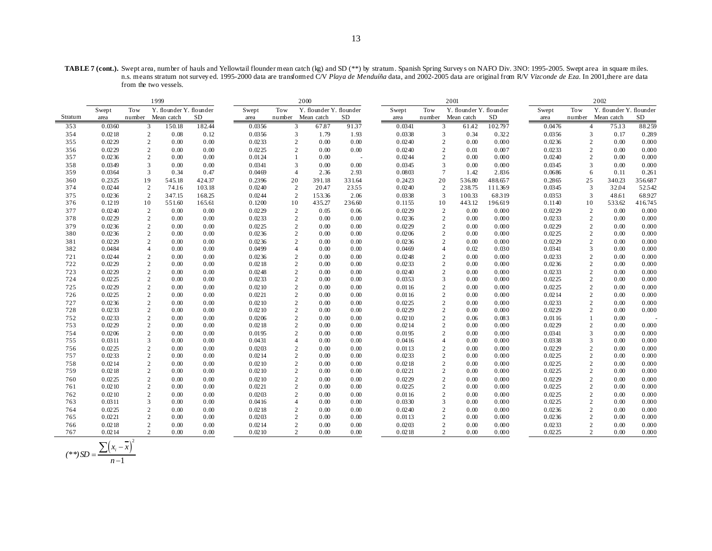**TABLE 7 (cont.).** Swept area, number of hauls and Yellowtail flounder mean catch (kg) and SD (\*\*) by stratum. Spanish Spring Survey s on NAFO Div. 3NO: 1995-2005. Swept area in square miles. n.s. means stratum not survey ed. 1995-2000 data are transformed C/V *Playa de Menduíña* data, and 2002-2005 data are original from R/V *Vizconde de Eza*. In 2001,there are data from the two vessels.

|         | 1999   |                         |                         |        |        |                | 2000                    |        |        |                | 2001                    |           |        |                | 2002                    |         |
|---------|--------|-------------------------|-------------------------|--------|--------|----------------|-------------------------|--------|--------|----------------|-------------------------|-----------|--------|----------------|-------------------------|---------|
|         | Swept  | Tow                     | Y. flounder Y. flounder |        | Swept  | Tow            | Y. flounder Y. flounder |        | Swept  | Tow            | Y. flounder Y. flounder |           | Swept  | Tow            | Y. flounder Y. flounder |         |
| Stratum | area   | number                  | Mean catch              | SD     | area   |                | number Mean catch       | SD     | area   |                | number Mean catch       | <b>SD</b> | area   |                | number Mean catch       | SD      |
| 353     | 0.0360 | 3                       | 150.18                  | 182.44 | 0.0356 | 3              | 67.87                   | 9137   | 0.0341 | 3              | 61.42                   | 102.797   | 0.0476 | $\overline{4}$ | 75.13                   | 88.259  |
| 354     | 0.0218 | $\overline{c}$          | 0.08                    | 0.12   | 0.0356 | 3              | 1.79                    | 1.93   | 0.0338 | 3              | 0.34                    | 0.322     | 0.0356 | 3              | 0.17                    | 0.289   |
| 355     | 0.0229 | $\overline{2}$          | 0.00                    | 0.00   | 0.0233 | 2              | 0.00                    | 0.00   | 0.0240 | $\overline{2}$ | 0.00                    | 0.000     | 0.0236 | $\mathbf{2}$   | 0.00                    | 0.000   |
| 356     | 0.0229 | $\overline{2}$          | 0.00                    | 0.00   | 0.0225 | $\overline{2}$ | 0.00                    | 0.00   | 0.0240 | $\overline{c}$ | 0.01                    | 0.007     | 0.0233 | $\overline{c}$ | 0.00                    | 0.000   |
| 357     | 0.0236 | $\overline{2}$          | 0.00                    | 0.00   | 0.0124 |                | 0.00                    |        | 0.0244 | $\overline{2}$ | 0.00                    | 0.000     | 0.0240 | $\overline{c}$ | 0.00                    | 0.000   |
| 358     | 0.0349 | $\mathfrak{Z}$          | 0.00                    | 0.00   | 0.0341 | 3              | 0.00                    | 0.00   | 0.0345 | $\overline{3}$ | 0.00                    | 0.000     | 0.0345 | 3              | 0.00                    | 0.000   |
| 359     | 0.0364 | 3                       | 0.34                    | 0.47   | 0.0469 | $\overline{4}$ | 2.36                    | 2.93   | 0.0803 | $\overline{7}$ | 1.42                    | 2.836     | 0.0686 | 6              | 0.11                    | 0.261   |
| 360     | 0.2325 | 19                      | 545.18                  | 424.37 | 0.2396 | 20             | 391.18                  | 331.64 | 0.2423 | 20             | 536.80                  | 488.657   | 0.2865 | 25             | 340.23                  | 356.687 |
| 374     | 0.0244 | $\overline{2}$          | 74.16                   | 103.18 | 0.0240 | $\overline{2}$ | 20.47                   | 2355   | 0.0240 | $\overline{2}$ | 238.75                  | 111.369   | 0.0345 | 3              | 32.04                   | 52542   |
| 375     | 0.0236 | 2                       | 347.15                  | 168.25 | 0.0244 | 2              | 153.36                  | 2.06   | 0.0338 | 3              | 100.33                  | 68319     | 0.0353 | 3              | 48.61                   | 68.927  |
| 376     | 0.1219 | 10                      | 551.60                  | 165.61 | 0.1200 | 10             | 435.27                  | 236.60 | 0.1155 | 10             | 443.12                  | 196.619   | 0.1140 | 10             | 533.62                  | 416.745 |
| 377     | 0.0240 | $\sqrt{2}$              | 0.00                    | 0.00   | 0.0229 | $\overline{2}$ | 0.05                    | 0.06   | 0.0229 | $\sqrt{2}$     | 0.00                    | 0.000     | 0.0229 | $\sqrt{2}$     | 0.00                    | 0.000   |
| 378     | 0.0229 | $\overline{2}$          | 0.00                    | 0.00   | 0.0233 | 2              | 0.00                    | 0.00   | 0.0236 | $\overline{c}$ | 0.00                    | 0.000     | 0.0233 | 2              | 0.00                    | 0.000   |
| 379     | 0.0236 | $\boldsymbol{2}$        | 0.00                    | 0.00   | 0.0225 | 2              | 0.00                    | 0.00   | 0.0229 | $\overline{2}$ | 0.00                    | 0.000     | 0.0229 | 2              | 0.00                    | 0.000   |
| 380     | 0.0236 | $\overline{2}$          | 0.00                    | 0.00   | 0.0236 | $\overline{c}$ | 0.00                    | 0.00   | 0.0206 | $\overline{2}$ | 0.00                    | 0.000     | 0.0225 | $\overline{c}$ | 0.00                    | 0.000   |
| 381     | 0.0229 | $\overline{2}$          | 0.00                    | 0.00   | 0.0236 | $\mathbf{2}$   | 0.00                    | 0.00   | 0.0236 | $\mathcal{L}$  | 0.00                    | 0.000     | 0.0229 | $\overline{2}$ | 0.00                    | 0.000   |
| 382     | 0.0484 | $\overline{4}$          | 0.00                    | 0.00   | 0.0499 | 4              | 0.00                    | 0.00   | 0.0469 | $\overline{4}$ | 0.02                    | 0.030     | 0.0341 | 3              | 0.00                    | 0.000   |
| 721     | 0.0244 | $\overline{2}$          | 0.00                    | 0.00   | 0.0236 | $\overline{2}$ | 0.00                    | 0.00   | 0.0248 | $\overline{c}$ | 0.00                    | 0.000     | 0.0233 | $\overline{c}$ | 0.00                    | 0.000   |
| 722     | 0.0229 | $\overline{2}$          | 0.00                    | 0.00   | 0.0218 | 2              | 0.00                    | 0.00   | 0.0233 | $\overline{c}$ | 0.00                    | 0.000     | 0.0236 | $\overline{2}$ | 0.00                    | 0.000   |
| 723     | 0.0229 | $\sqrt{2}$              | 0.00                    | 0.00   | 0.0248 | $\overline{c}$ | 0.00                    | 0.00   | 0.0240 | $\overline{c}$ | 0.00                    | 0.000     | 0.0233 | $\overline{2}$ | 0.00                    | 0.000   |
| 724     | 0.0225 | $\overline{2}$          | 0.00                    | 0.00   | 0.0233 | $\overline{c}$ | 0.00                    | 0.00   | 0.0353 | 3              | 0.00                    | 0.000     | 0.0225 | $\overline{c}$ | 0.00                    | 0.000   |
| 725     | 0.0229 | $\overline{c}$          | 0.00                    | 0.00   | 0.0210 | $\overline{c}$ | 0.00                    | 0.00   | 0.0116 | $\overline{c}$ | 0.00                    | 0.000     | 0.0225 | $\overline{2}$ | 0.00                    | 0.000   |
| 726     | 0.0225 | $\overline{2}$          | 0.00                    | 0.00   | 0.0221 | $\mathbf{2}$   | 0.00                    | 0.00   | 0.0116 | $\overline{2}$ | 0.00                    | 0.000     | 0.0214 | $\overline{2}$ | 0.00                    | 0.000   |
| 727     | 0.0236 | $\overline{2}$          | 0.00                    | 0.00   | 0.0210 | $\mathbf{2}$   | 0.00                    | 0.00   | 0.0225 | $\overline{c}$ | 0.00                    | 0.000     | 0.0233 | $\overline{c}$ | 0.00                    | 0.000   |
| 728     | 0.0233 | $\sqrt{2}$              | 0.00                    | 0.00   | 0.0210 | $\mathbf{2}$   | 0.00                    | 0.00   | 0.0229 | $\overline{c}$ | 0.00                    | 0.000     | 0.0229 | 2              | 0.00                    | 0.000   |
| 752     | 0.0233 | $\sqrt{2}$              | 0.00                    | 0.00   | 0.0206 | $\overline{c}$ | 0.00                    | 0.00   | 0.0210 | $\overline{c}$ | 0.06                    | 0.083     | 0.0116 | 1              | 0.00                    |         |
| 753     | 0.0229 | $\overline{2}$          | 0.00                    | 0.00   | 0.0218 | $\mathbf{2}$   | 0.00                    | 0.00   | 0.0214 | $\overline{c}$ | 0.00                    | 0.000     | 0.0229 | 2              | 0.00                    | 0.000   |
| 754     | 0.0206 | $\overline{2}$          | 0.00                    | 0.00   | 0.0195 | $\overline{c}$ | 0.00                    | 0.00   | 0.0195 | $\overline{c}$ | 0.00                    | 0.000     | 0.0341 | 3              | 0.00                    | 0.000   |
| 755     | 0.0311 | 3                       | 0.00                    | 0.00   | 0.0431 | $\overline{4}$ | 0.00                    | 0.00   | 0.0416 | $\overline{4}$ | 0.00                    | 0.000     | 0.0338 | 3              | 0.00                    | 0.000   |
| 756     | 0.0225 | $\boldsymbol{2}$        | 0.00                    | 0.00   | 0.0203 | $\overline{c}$ | 0.00                    | 0.00   | 0.0113 | $\overline{2}$ | 0.00                    | 0.000     | 0.0229 | 2              | 0.00                    | 0.000   |
| 757     | 0.0233 | $\sqrt{2}$              | 0.00                    | 0.00   | 0.0214 | $\overline{c}$ | 0.00                    | 0.00   | 0.0233 | $\overline{c}$ | 0.00                    | 0.000     | 0.0225 | 2              | 0.00                    | 0.000   |
| 758     | 0.0214 | $\overline{2}$          | 0.00                    | 0.00   | 0.0210 | 2              | 0.00                    | 0.00   | 0.0218 | $\overline{c}$ | 0.00                    | 0.000     | 0.0225 | $\overline{2}$ | 0.00                    | 0.000   |
| 759     | 0.0218 | $\sqrt{2}$              | 0.00                    | 0.00   | 0.0210 | $\overline{c}$ | 0.00                    | 0.00   | 0.0221 | $\overline{c}$ | 0.00                    | 0.000     | 0.0225 | $\overline{c}$ | 0.00                    | 0.000   |
| 760     | 0.0225 | $\overline{2}$          | 0.00                    | 0.00   | 0.0210 | $\overline{c}$ | 0.00                    | 0.00   | 0.0229 | $\overline{c}$ | 0.00                    | 0.000     | 0.0229 | 2              | 0.00                    | 0.000   |
| 761     | 0.0210 | $\overline{2}$          | 0.00                    | 0.00   | 0.0221 | 2              | 0.00                    | 0.00   | 0.0225 | $\overline{2}$ | 0.00                    | 0.000     | 0.0225 | $\overline{c}$ | 0.00                    | 0.000   |
| 762     | 0.0210 | $\sqrt{2}$              | 0.00                    | 0.00   | 0.0203 | $\overline{c}$ | 0.00                    | 0.00   | 0.0116 | $\overline{c}$ | 0.00                    | 0.000     | 0.0225 | $\overline{c}$ | 0.00                    | 0.000   |
| 763     | 0.0311 | $\overline{\mathbf{3}}$ | 0.00                    | 0.00   | 0.0416 | $\overline{4}$ | 0.00                    | 0.00   | 0.0330 | 3              | 0.00                    | 0.000     | 0.0225 | 2              | 0.00                    | 0.000   |
| 764     | 0.0225 | $\overline{2}$          | 0.00                    | 0.00   | 0.0218 | $\overline{c}$ | 0.00                    | 0.00   | 0.0240 | $\overline{c}$ | 0.00                    | 0.000     | 0.0236 | $\mathbf{2}$   | 0.00                    | 0.000   |
| 765     | 0.0221 | $\overline{c}$          | 0.00                    | 0.00   | 0.0203 | $\overline{2}$ | 0.00                    | 0.00   | 0.0113 | $\overline{c}$ | 0.00                    | 0.000     | 0.0236 | $\overline{2}$ | 0.00                    | 0.000   |
| 766     | 0.0218 | $\overline{2}$          | 0.00                    | 0.00   | 0.0214 | 2              | 0.00                    | 0.00   | 0.0203 | $\overline{c}$ | 0.00                    | 0.000     | 0.0233 | $\overline{2}$ | 0.00                    | 0.000   |
| 767     | 0.0214 | $\overline{2}$          | 0.00                    | 0.00   | 0.0210 | $\overline{2}$ | 0.00                    | 0.00   | 0.0218 | $\overline{2}$ | 0.00                    | 0.000     | 0.0225 | $\overline{2}$ | 0.00                    | 0.000   |

$$
(**) SD = \frac{\sum (x_i - \overline{x})^2}{n - 1}
$$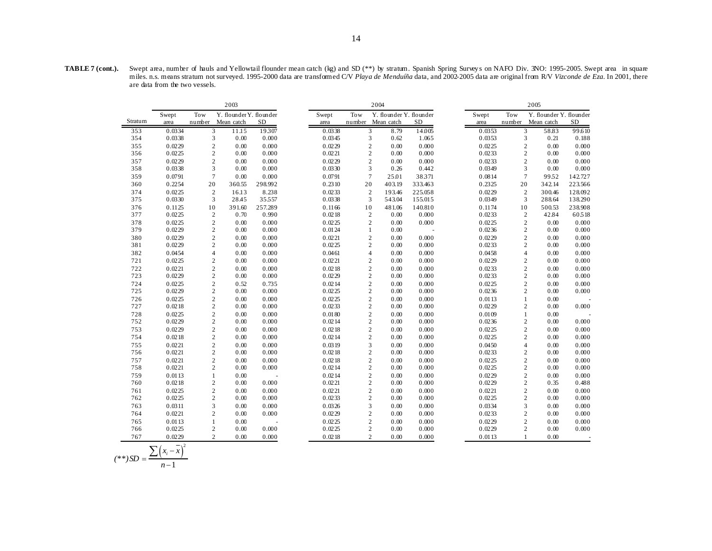**TABLE 7 (cont.).** Swept area, number of hauls and Yellowtail flounder mean catch (kg) and SD (\*\*) by stratum. Spanish Spring Survey s on NAFO Div. 3NO: 1995-2005. Swept area in square miles. n.s. means stratum not surveyed. 1995-2000 data are transformed C/V *Playa de Menduíña* data, and 2002-2005 data are original from R/V *Vizconde de Eza*. In 2001, there are data from the two vessels.

|         |        |                | 2003                    |         |        |                | 2004                    |           | 2005   |                  |                         |         |  |
|---------|--------|----------------|-------------------------|---------|--------|----------------|-------------------------|-----------|--------|------------------|-------------------------|---------|--|
|         | Swept  | Tow            | Y. flounder Y. flounder |         | Swept  | Tow            | Y. flounder Y. flounder |           | Swept  | Tow              | Y. flounder Y. flounder |         |  |
| Stratum | area   | number         | Mean catch              | SD      | area   | number         | Mean catch              | <b>SD</b> | area   | number           | Mean catch              | SD      |  |
| 353     | 0.0334 | 3              | 11.15                   | 19307   | 0.0338 | 3              | 8.79                    | 14.005    | 0.0353 | 3                | 58.83                   | 99.610  |  |
| 354     | 0.0338 | $\overline{3}$ | 0.00                    | 0.000   | 0.0345 | 3              | 0.62                    | 1.065     | 0.0353 | 3                | 0.21                    | 0.188   |  |
| 355     | 0.0229 | 2              | 0.00                    | 0.000   | 0.0229 | $\overline{2}$ | 0.00                    | 0.000     | 0.0225 | $\mathbf{2}$     | 0.00                    | 0.000   |  |
| 356     | 0.0225 | 2              | 0.00                    | 0.000   | 0.0221 | $\overline{c}$ | 0.00                    | 0.000     | 0.0233 | $\boldsymbol{2}$ | 0.00                    | 0.000   |  |
| 357     | 0.0229 | $\sqrt{2}$     | 0.00                    | 0.000   | 0.0229 | $\overline{c}$ | 0.00                    | 0.000     | 0.0233 | $\mathbf{2}$     | 0.00                    | 0.000   |  |
| 358     | 0.0338 | 3              | 0.00                    | 0.000   | 0.0330 | 3              | 0.26                    | 0.442     | 0.0349 | 3                | 0.00                    | 0.000   |  |
| 359     | 0.0791 | $\tau$         | 0.00                    | 0.000   | 0.0791 | $\overline{7}$ | 25.01                   | 38371     | 0.0814 | $\overline{7}$   | 99.52                   | 142.727 |  |
| 360     | 0.2254 | 20             | 360.55                  | 298.992 | 0.2310 | 20             | 403.19                  | 333.463   | 0.2325 | 20               | 342.14                  | 223.566 |  |
| 374     | 0.0225 | 2              | 16.13                   | 8.238   | 0.0233 | $\overline{2}$ | 193.46                  | 225.058   | 0.0229 | $\mathfrak{2}$   | 300.46                  | 128.092 |  |
| 375     | 0.0330 | 3              | 28.45                   | 35557   | 0.0338 | 3              | 543.04                  | 155.015   | 0.0349 | 3                | 288.64                  | 138.290 |  |
| 376     | 0.1125 | 10             | 391.60                  | 257.289 | 0.1166 | 10             | 481.06                  | 140.810   | 0.1174 | 10               | 500.53                  | 238.908 |  |
| 377     | 0.0225 | 2              | 0.70                    | 0.990   | 0.0218 | $\overline{c}$ | 0.00                    | 0.000     | 0.0233 | $\overline{c}$   | 42.84                   | 60518   |  |
| 378     | 0.0225 | $\overline{c}$ | 0.00                    | 0.000   | 0.0225 | $\overline{2}$ | 0.00                    | 0.000     | 0.0225 | $\mathfrak{2}$   | 0.00                    | 0.000   |  |
| 379     | 0.0229 | $\mathbf{2}$   | 0.00                    | 0.000   | 0.0124 | $\mathbf{1}$   | 0.00                    |           | 0.0236 | $\boldsymbol{2}$ | 0.00                    | 0.000   |  |
| 380     | 0.0229 | $\mathbf{2}$   | 0.00                    | 0.000   | 0.0221 | $\overline{2}$ | 0.00                    | 0.000     | 0.0229 | $\mathbf{2}$     | 0.00                    | 0.000   |  |
| 381     | 0.0229 | $\mathbf{2}$   | 0.00                    | 0.000   | 0.0225 | $\overline{c}$ | 0.00                    | 0.000     | 0.0233 | $\overline{c}$   | 0.00                    | 0.000   |  |
| 382     | 0.0454 | $\overline{4}$ | 0.00                    | 0.000   | 0.0461 | $\overline{4}$ | 0.00                    | 0.000     | 0.0458 | $\overline{4}$   | 0.00                    | 0.000   |  |
| 721     | 0.0225 | 2              | 0.00                    | 0.000   | 0.0221 | $\overline{2}$ | 0.00                    | 0.000     | 0.0229 | $\mathfrak{2}$   | 0.00                    | 0.000   |  |
| 722     | 0.0221 | $\overline{2}$ | 0.00                    | 0.000   | 0.0218 | $\overline{c}$ | 0.00                    | 0.000     | 0.0233 | $\mathbf{2}$     | 0.00                    | 0.000   |  |
| 723     | 0.0229 | $\sqrt{2}$     | 0.00                    | 0.000   | 0.0229 | $\sqrt{2}$     | 0.00                    | 0.000     | 0.0233 | $\boldsymbol{2}$ | 0.00                    | 0.000   |  |
| 724     | 0.0225 | $\overline{c}$ | 0.52                    | 0.735   | 0.0214 | $\overline{2}$ | 0.00                    | 0.000     | 0.0225 | $\overline{c}$   | 0.00                    | 0.000   |  |
| 725     | 0.0229 | $\overline{2}$ | 0.00                    | 0.000   | 0.0225 | $\overline{2}$ | 0.00                    | 0.000     | 0.0236 | $\overline{c}$   | 0.00                    | 0.000   |  |
| 726     | 0.0225 | $\mathbf{2}$   | 0.00                    | 0.000   | 0.0225 | $\overline{c}$ | 0.00                    | 0.000     | 0.0113 | 1                | 0.00                    |         |  |
| 727     | 0.0218 | $\mathbf{2}$   | 0.00                    | 0.000   | 0.0233 | $\overline{c}$ | 0.00                    | 0.000     | 0.0229 | $\mathfrak{2}$   | 0.00                    | 0.000   |  |
| 728     | 0.0225 | $\sqrt{2}$     | 0.00                    | 0.000   | 0.0180 | $\overline{2}$ | 0.00                    | 0.000     | 0.0109 | $\mathbf{1}$     | 0.00                    |         |  |
| 752     | 0.0229 | 2              | 0.00                    | 0.000   | 0.0214 | $\overline{c}$ | 0.00                    | 0.000     | 0.0236 | $\mathfrak{2}$   | 0.00                    | 0.000   |  |
| 753     | 0.0229 | $\overline{2}$ | 0.00                    | 0.000   | 0.0218 | $\overline{2}$ | 0.00                    | 0.000     | 0.0225 | $\mathbf{2}$     | 0.00                    | 0.000   |  |
| 754     | 0.0218 | $\mathbf{2}$   | 0.00                    | 0.000   | 0.0214 | $\overline{c}$ | 0.00                    | 0.000     | 0.0225 | $\mathfrak{2}$   | 0.00                    | 0.000   |  |
| 755     | 0.0221 | $\mathbf{2}$   | 0.00                    | 0.000   | 0.0319 | 3              | 0.00                    | 0.000     | 0.0450 | $\overline{4}$   | 0.00                    | 0.000   |  |
| 756     | 0.0221 | $\mathbf{2}$   | 0.00                    | 0.000   | 0.0218 | $\overline{c}$ | 0.00                    | 0.000     | 0.0233 | $\mathbf{2}$     | 0.00                    | 0.000   |  |
| 757     | 0.0221 | $\overline{2}$ | 0.00                    | 0.000   | 0.0218 | $\overline{2}$ | 0.00                    | 0.000     | 0.0225 | $\overline{c}$   | 0.00                    | 0.000   |  |
| 758     | 0.0221 | 2              | 0.00                    | 0.000   | 0.0214 | $\overline{c}$ | 0.00                    | 0.000     | 0.0225 | 2                | 0.00                    | 0.000   |  |
| 759     | 0.0113 | $\mathbf{1}$   | 0.00                    |         | 0.0214 | $\overline{c}$ | 0.00                    | 0.000     | 0.0229 | $\mathbf{2}$     | 0.00                    | 0.000   |  |
| 760     | 0.0218 | $\overline{2}$ | 0.00                    | 0.000   | 0.0221 | $\overline{2}$ | 0.00                    | 0.000     | 0.0229 | $\mathfrak{2}$   | 0.35                    | 0.488   |  |
| 761     | 0.0225 | $\overline{2}$ | 0.00                    | 0.000   | 0.0221 | $\overline{2}$ | 0.00                    | 0.000     | 0.0221 | $\overline{c}$   | 0.00                    | 0.000   |  |
| 762     | 0.0225 | $\mathbf{2}$   | 0.00                    | 0.000   | 0.0233 | $\overline{c}$ | 0.00                    | 0.000     | 0.0225 | $\mathbf{2}$     | 0.00                    | 0.000   |  |
| 763     | 0.0311 | 3              | 0.00                    | 0.000   | 0.0326 | 3              | 0.00                    | 0.000     | 0.0334 | 3                | 0.00                    | 0.000   |  |
| 764     | 0.0221 | 2              | 0.00                    | 0.000   | 0.0229 | $\overline{c}$ | 0.00                    | 0.000     | 0.0233 | 2                | 0.00                    | 0.000   |  |
| 765     | 0.0113 | $\mathbf{1}$   | 0.00                    |         | 0.0225 | $\overline{2}$ | 0.00                    | 0.000     | 0.0229 | $\mathbf{2}$     | 0.00                    | 0.000   |  |
| 766     | 0.0225 | $\overline{c}$ | 0.00                    | 0.000   | 0.0225 | $\overline{c}$ | 0.00                    | 0.000     | 0.0229 | $\mathfrak{2}$   | 0.00                    | 0.000   |  |
| 767     | 0.0229 | $\overline{2}$ | 0.00                    | 0.000   | 0.0218 | $\overline{2}$ | 0.00                    | 0.000     | 0.0113 | 1                | 0.00                    |         |  |

$$
(**)SD = \frac{\sum (x_i - \overline{x})^2}{n-1}
$$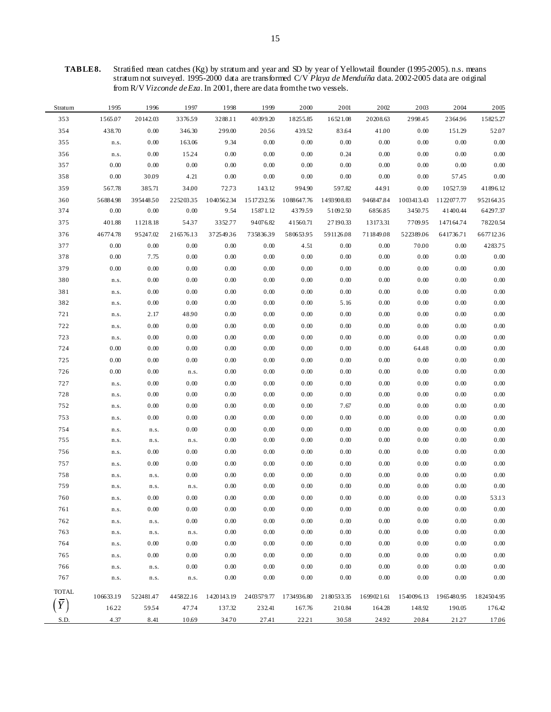**TABLE 8.** Stratified mean catches (Kg) by stratum and year and SD by year of Yellowtail flounder (1995-2005). n.s. means stratum not surveyed. 1995-2000 data are transformed C/V *Playa de Menduíña* data. 2002-2005 data are original from R/V *Vizconde de Eza*. In 2001, there are data from the two vessels.

| Stratum      | 1995      | 1996         | 1997      | 1998            | 1999                             | 2000       | 2001       | 2002       | 2003       | 2004       | 2005       |
|--------------|-----------|--------------|-----------|-----------------|----------------------------------|------------|------------|------------|------------|------------|------------|
| 353          | 1565.07   | 20142.03     | 337659    | 3288.11         | 40399.20                         | 18255.85   | 16521.08   | 20208.63   | 2998.45    | 2364.96    | 15825.27   |
| 354          | 438.70    | 0.00         | 346.30    | 299.00          | 2056                             | 439.52     | 83.64      | 41.00      | 0.00       | 151.29     | 52.07      |
| 355          | n.s.      | 0.00         | 163.06    | 9.34            | 0.00                             | 0.00       | 0.00       | 0.00       | 0.00       | 0.00       | 0.00       |
| 356          | n.s.      | 0.00         | 15.24     | 0.00            | 0.00                             | 0.00       | 0.24       | 0.00       | 0.00       | 0.00       | 0.00       |
| 357          | 0.00      | 0.00         | 0.00      | 0.00            | 0.00                             | 0.00       | 0.00       | 0.00       | 0.00       | 0.00       | 0.00       |
| 358          | 0.00      | 30.09        | 4.21      | 0.00            | 0.00                             | 0.00       | 0.00       | 0.00       | 0.00       | 57.45      | 0.00       |
| 359          | 567.78    | 385.71       | 34.00     | 72.73           | 143.12                           | 994.90     | 597.82     | 44.91      | 0.00       | 10527.59   | 41896.12   |
| 360          | 56884.98  | 39544850     | 22520335  |                 | 1040562.34 1517232.56 1088647.76 |            | 1493908.83 | 946847.84  | 1003413.43 | 1122077.77 | 95216435   |
| 374          | 0.00      | 0.00         | 0.00      | 9.54            | 15871.12                         | 437959     | 51092.50   | 6856.85    | 3450.75    | 41400.44   | 64297.37   |
| 375          | 401.88    | 11218.18     | 5437      | 3352.77         | 94076.82                         | 41560.71   | 27190.33   | 13173.31   | 7709.95    | 147164.74  | 78220.54   |
| 376          | 46774.78  | 95247.02     | 216576.13 | 37254936        | 73583639                         | 58065395   | 591126.08  | 711849.08  | 522389.06  | 641736.71  | 667712.36  |
| 377          | 0.00      | 0.00         | 0.00      | 0.00            | 0.00                             | 4.51       | 0.00       | 0.00       | 70.00      | 0.00       | 4283.75    |
| 378          | 0.00      | 7.75         | 0.00      | 0.00            | 0.00                             | 0.00       | 0.00       | 0.00       | 0.00       | 0.00       | 0.00       |
| 379          | 0.00      | 0.00         | 0.00      | 0.00            | 0.00                             | 0.00       | 0.00       | 0.00       | 0.00       | 0.00       | 0.00       |
| 380          | n.s.      | 0.00         | 0.00      | 0.00            | 0.00                             | 0.00       | 0.00       | 0.00       | 0.00       | 0.00       | 0.00       |
| 381          | n.s.      | 0.00         | 0.00      | 0.00            | 0.00                             | 0.00       | 0.00       | 0.00       | 0.00       | 0.00       | 0.00       |
| 382          | n.s.      | 0.00         | 0.00      | 0.00            | 0.00                             | 0.00       | 5.16       | 0.00       | 0.00       | 0.00       | 0.00       |
| 721          | n.s.      | 2.17         | 48.90     | 0.00            | 0.00                             | 0.00       | 0.00       | 0.00       | 0.00       | 0.00       | 0.00       |
| 722          | n.s.      | 0.00         | 0.00      | 0.00            | 0.00                             | 0.00       | 0.00       | 0.00       | 0.00       | 0.00       | 0.00       |
| 723          | n.s.      | 0.00         | 0.00      | 0.00            | 0.00                             | 0.00       | 0.00       | 0.00       | $0.00\,$   | 0.00       | 0.00       |
| 724          | 0.00      | 0.00         | 0.00      | 0.00            | 0.00                             | 0.00       | 0.00       | 0.00       | 64.48      | 0.00       | 0.00       |
| 725          | 0.00      | 0.00         | 0.00      | 0.00            | 0.00                             | 0.00       | 0.00       | 0.00       | 0.00       | 0.00       | 0.00       |
| 726          | 0.00      | 0.00         | n.s.      | 0.00            | 0.00                             | 0.00       | 0.00       | 0.00       | 0.00       | 0.00       | 0.00       |
| 727          | n.s.      | 0.00         | 0.00      | 0.00            | 0.00                             | 0.00       | 0.00       | 0.00       | 0.00       | 0.00       | 0.00       |
| 728          | n.s.      | 0.00         | 0.00      | 0.00            | 0.00                             | 0.00       | 0.00       | 0.00       | $0.00\,$   | 0.00       | 0.00       |
| 752          | n.s.      | 0.00         | 0.00      | 0.00            | 0.00                             | 0.00       | 7.67       | $0.00\,$   | 0.00       | 0.00       | 0.00       |
| 753          | n.s.      | 0.00         | 0.00      | 0.00            | 0.00                             | 0.00       | 0.00       | $0.00\,$   | 0.00       | 0.00       | 0.00       |
| 754          | n.s.      | ${\tt n.s.}$ | 0.00      | 0.00            | 0.00                             | 0.00       | 0.00       | $0.00\,$   | 0.00       | 0.00       | 0.00       |
| 755          | n.s.      | n.s.         | n.s.      | 0.00            | 0.00                             | 0.00       | 0.00       | $0.00\,$   | 0.00       | 0.00       | 0.00       |
| 756          | n.s.      | 0.00         | 0.00      | 0.00            | 0.00                             | 0.00       | 0.00       | $0.00\,$   | 0.00       | 0.00       | 0.00       |
| 757          | n.s.      | 0.00         | 0.00      | 0.00            | 0.00                             | 0.00       | 0.00       | 0.00       | 0.00       | 0.00       | 0.00       |
| 758          | n.s.      | n.s.         | 0.00      | 0.00            | 0.00                             | 0.00       | 0.00       | 0.00       | 0.00       | 0.00       | 0.00       |
| 759          | n.s.      | n.s.         | n.s.      | 0.00            | 0.00                             | 0.00       | 0.00       | 0.00       | 0.00       | 0.00       | 0.00       |
| 760          | n.s.      | 0.00         | 0.00      | 0.00            | 0.00                             | 0.00       | 0.00       | $0.00\,$   | 0.00       | 0.00       | 53.13      |
| 761          | n.s.      | 0.00         | 0.00      | $0.00\,$        | $0.00\,$                         | 0.00       | $0.00\,$   | $0.00\,$   | $0.00\,$   | $0.00\,$   | 0.00       |
| 762          | n.s.      | ${\tt n.s.}$ | 0.00      | 0.00            | 0.00                             | 0.00       | 0.00       | 0.00       | 0.00       | 0.00       | 0.00       |
| 763          | n.s.      | ${\tt n.s.}$ | n.s.      | $0.00\,$        | 0.00                             | 0.00       | 0.00       | $0.00\,$   | $0.00\,$   | 0.00       | 0.00       |
| 764          | n.s.      | 0.00         | 0.00      | 0.00            | $0.00\,$                         | 0.00       | 0.00       | 0.00       | 0.00       | 0.00       | 0.00       |
| 765          | n.s.      | 0.00         | 0.00      | 0.00            | 0.00                             | 0.00       | 0.00       | 0.00       | 0.00       | 0.00       | 0.00       |
| 766          | n.s.      | n.s.         | 0.00      | 0.00            | 0.00                             | 0.00       | 0.00       | 0.00       | 0.00       | 0.00       | 0.00       |
| 767          | n.s.      | ${\tt n.s.}$ | n.s.      | 0.00            | 0.00                             | 0.00       | 0.00       | 0.00       | 0.00       | 0.00       | 0.00       |
| <b>TOTAL</b> | 106633.19 | 522481.47    | 445822.16 | 1420143.19      | 2403579.77                       | 1734936.80 | 2180533.35 | 1699021.61 | 1540096.13 | 1965480.95 | 1824504.95 |
|              | 16.22     | 5954         | 47.74     |                 |                                  | 167.76     |            |            |            | 190.05     | 176.42     |
|              |           |              |           | 137.32<br>34.70 | 232.41<br>27.41                  | 2221       | 210.84     | 164.28     | 148.92     |            |            |
| S.D.         | 4.37      | 8.41         | 10.69     |                 |                                  |            | 3058       | 24.92      | 20.84      | 2127       | 17.06      |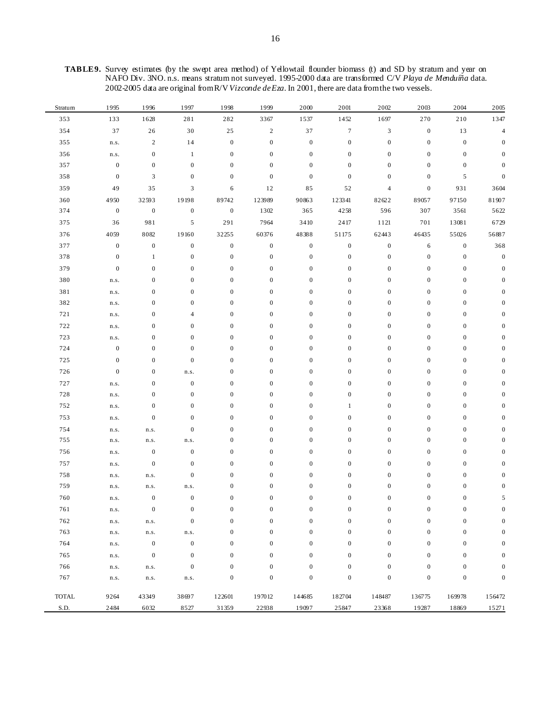| Stratum | 1995             | 1996             | 1997             | 1998             | 1999             | 2000             | 2001             | 2002                     | 2003             | 2004             | 2005             |
|---------|------------------|------------------|------------------|------------------|------------------|------------------|------------------|--------------------------|------------------|------------------|------------------|
| 353     | 133              | 1628             | 281              | 282              | 3367             | 1537             | 1452             | 1697                     | 270              | 210              | 1347             |
| 354     | 37               | 26               | 30               | 25               | $\sqrt{2}$       | 37               | $\boldsymbol{7}$ | 3                        | $\boldsymbol{0}$ | 13               | $\overline{4}$   |
| 355     | n.s.             | $\sqrt{2}$       | 14               | $\boldsymbol{0}$ | $\boldsymbol{0}$ | $\boldsymbol{0}$ | $\boldsymbol{0}$ | $\boldsymbol{0}$         | $\boldsymbol{0}$ | $\boldsymbol{0}$ | $\theta$         |
| 356     | n.s.             | $\boldsymbol{0}$ | $\mathbf{1}$     | $\boldsymbol{0}$ | $\boldsymbol{0}$ | $\mathbf{0}$     | $\boldsymbol{0}$ | $\boldsymbol{0}$         | $\boldsymbol{0}$ | $\boldsymbol{0}$ | $\mathbf{0}$     |
| 357     | $\boldsymbol{0}$ | $\boldsymbol{0}$ | $\boldsymbol{0}$ | $\boldsymbol{0}$ | $\boldsymbol{0}$ | $\boldsymbol{0}$ | $\boldsymbol{0}$ | $\boldsymbol{0}$         | $\boldsymbol{0}$ | $\boldsymbol{0}$ | $\Omega$         |
| 358     | $\boldsymbol{0}$ | 3                | $\boldsymbol{0}$ | $\boldsymbol{0}$ | $\boldsymbol{0}$ | $\boldsymbol{0}$ | $\boldsymbol{0}$ | $\boldsymbol{0}$         | $\boldsymbol{0}$ | 5                | 0                |
| 359     | 49               | 35               | 3                | 6                | 12               | 85               | 52               | $\overline{\mathcal{L}}$ | $\boldsymbol{0}$ | 931              | 3604             |
| 360     | 4950             | 32593            | 19198            | 89742            | 123989           | 90863            | 123341           | 82622                    | 89057            | 97150            | 81907            |
| 374     | $\boldsymbol{0}$ | $\boldsymbol{0}$ | $\boldsymbol{0}$ | $\boldsymbol{0}$ | 1302             | 365              | 4258             | 596                      | 307              | 3561             | 5622             |
| 375     | 36               | 981              | $\sqrt{5}$       | 291              | 7964             | 3410             | 2417             | 1121                     | 701              | 13081            | 6729             |
| 376     | 4059             | 8082             | 19160            | 32255            | 60376            | 48388            | 51175            | 62443                    | 46435            | 55026            | 56887            |
| 377     | $\boldsymbol{0}$ | $\boldsymbol{0}$ | $\boldsymbol{0}$ | $\boldsymbol{0}$ | $\boldsymbol{0}$ | $\boldsymbol{0}$ | $\boldsymbol{0}$ | $\boldsymbol{0}$         | $\sqrt{6}$       | $\boldsymbol{0}$ | 368              |
| 378     | $\boldsymbol{0}$ | $\mathbf{1}$     | $\boldsymbol{0}$ | $\boldsymbol{0}$ | $\boldsymbol{0}$ | $\mathbf{0}$     | $\boldsymbol{0}$ | $\boldsymbol{0}$         | $\boldsymbol{0}$ | $\boldsymbol{0}$ | $\boldsymbol{0}$ |
| 379     | $\boldsymbol{0}$ | $\boldsymbol{0}$ | $\boldsymbol{0}$ | $\boldsymbol{0}$ | $\boldsymbol{0}$ | $\boldsymbol{0}$ | $\boldsymbol{0}$ | $\boldsymbol{0}$         | $\boldsymbol{0}$ | $\boldsymbol{0}$ | $\mathbf{0}$     |
| 380     | n.s.             | $\boldsymbol{0}$ | $\boldsymbol{0}$ | $\boldsymbol{0}$ | $\boldsymbol{0}$ | $\boldsymbol{0}$ | $\boldsymbol{0}$ | $\boldsymbol{0}$         | $\boldsymbol{0}$ | $\boldsymbol{0}$ | $\Omega$         |
| 381     | n.s.             | $\boldsymbol{0}$ | $\boldsymbol{0}$ | $\boldsymbol{0}$ | $\boldsymbol{0}$ | $\boldsymbol{0}$ | $\boldsymbol{0}$ | $\boldsymbol{0}$         | $\boldsymbol{0}$ | $\boldsymbol{0}$ | O                |
| 382     | n.s.             | $\boldsymbol{0}$ | $\boldsymbol{0}$ | $\boldsymbol{0}$ | $\boldsymbol{0}$ | $\boldsymbol{0}$ | $\boldsymbol{0}$ | $\boldsymbol{0}$         | $\boldsymbol{0}$ | $\boldsymbol{0}$ | O                |
| 721     | n.s.             | $\boldsymbol{0}$ | 4                | $\boldsymbol{0}$ | $\boldsymbol{0}$ | $\boldsymbol{0}$ | $\boldsymbol{0}$ | $\boldsymbol{0}$         | $\boldsymbol{0}$ | $\boldsymbol{0}$ | O                |
| 722     | n.s.             | $\boldsymbol{0}$ | $\boldsymbol{0}$ | $\boldsymbol{0}$ | $\boldsymbol{0}$ | $\boldsymbol{0}$ | $\boldsymbol{0}$ | $\boldsymbol{0}$         | $\boldsymbol{0}$ | $\boldsymbol{0}$ | 0                |
| 723     | n.s.             | $\boldsymbol{0}$ | $\boldsymbol{0}$ | $\boldsymbol{0}$ | $\boldsymbol{0}$ | $\boldsymbol{0}$ | $\boldsymbol{0}$ | $\boldsymbol{0}$         | $\boldsymbol{0}$ | $\boldsymbol{0}$ | 0                |
| 724     | $\boldsymbol{0}$ | $\boldsymbol{0}$ | $\boldsymbol{0}$ | $\boldsymbol{0}$ | $\boldsymbol{0}$ | $\boldsymbol{0}$ | $\boldsymbol{0}$ | $\boldsymbol{0}$         | $\boldsymbol{0}$ | $\boldsymbol{0}$ |                  |
| 725     | $\boldsymbol{0}$ | $\boldsymbol{0}$ | $\boldsymbol{0}$ | $\boldsymbol{0}$ | $\boldsymbol{0}$ | $\boldsymbol{0}$ | $\boldsymbol{0}$ | $\boldsymbol{0}$         | $\boldsymbol{0}$ | $\boldsymbol{0}$ |                  |
| 726     | $\boldsymbol{0}$ | $\boldsymbol{0}$ | n.s.             | $\boldsymbol{0}$ | $\boldsymbol{0}$ | $\boldsymbol{0}$ | $\boldsymbol{0}$ | $\boldsymbol{0}$         | $\boldsymbol{0}$ | $\boldsymbol{0}$ |                  |
| 727     | n.s.             | $\boldsymbol{0}$ | $\boldsymbol{0}$ | $\boldsymbol{0}$ | $\boldsymbol{0}$ | $\boldsymbol{0}$ | $\boldsymbol{0}$ | $\boldsymbol{0}$         | $\boldsymbol{0}$ | $\boldsymbol{0}$ |                  |
| 728     | n.s.             | $\boldsymbol{0}$ | $\boldsymbol{0}$ | $\boldsymbol{0}$ | $\boldsymbol{0}$ | $\boldsymbol{0}$ | $\boldsymbol{0}$ | $\boldsymbol{0}$         | $\boldsymbol{0}$ | $\boldsymbol{0}$ |                  |
| 752     | n.s.             | $\boldsymbol{0}$ | $\boldsymbol{0}$ | $\boldsymbol{0}$ | $\boldsymbol{0}$ | $\boldsymbol{0}$ | $\mathbf{1}$     | $\boldsymbol{0}$         | $\boldsymbol{0}$ | $\boldsymbol{0}$ |                  |
| 753     | n.s.             | $\boldsymbol{0}$ | $\boldsymbol{0}$ | $\boldsymbol{0}$ | $\boldsymbol{0}$ | $\boldsymbol{0}$ | $\boldsymbol{0}$ | $\boldsymbol{0}$         | $\boldsymbol{0}$ | $\boldsymbol{0}$ |                  |
| 754     | n.s.             | n.s.             | $\boldsymbol{0}$ | $\boldsymbol{0}$ | $\boldsymbol{0}$ | $\boldsymbol{0}$ | $\boldsymbol{0}$ | $\boldsymbol{0}$         | $\boldsymbol{0}$ | $\boldsymbol{0}$ |                  |
| 755     | n.s.             | n.s.             | n.s.             | $\boldsymbol{0}$ | $\boldsymbol{0}$ | $\boldsymbol{0}$ | $\boldsymbol{0}$ | $\boldsymbol{0}$         | $\mathbf{0}$     | $\boldsymbol{0}$ |                  |
| 756     | n.s.             | $\boldsymbol{0}$ | $\boldsymbol{0}$ | $\boldsymbol{0}$ | $\boldsymbol{0}$ | $\boldsymbol{0}$ | $\boldsymbol{0}$ | $\boldsymbol{0}$         | $\boldsymbol{0}$ | $\boldsymbol{0}$ |                  |
| 757     | n.s.             | $\boldsymbol{0}$ | $\boldsymbol{0}$ | $\boldsymbol{0}$ | $\boldsymbol{0}$ | $\boldsymbol{0}$ | $\boldsymbol{0}$ | $\boldsymbol{0}$         | $\boldsymbol{0}$ | $\boldsymbol{0}$ |                  |
| 758     | n.s.             | n.s.             | $\boldsymbol{0}$ | $\boldsymbol{0}$ | $\boldsymbol{0}$ | $\boldsymbol{0}$ | $\boldsymbol{0}$ | $\boldsymbol{0}$         | $\boldsymbol{0}$ | $\boldsymbol{0}$ | O                |
| 759     | n.s.             | n.s.             | n.s.             | $\boldsymbol{0}$ | $\boldsymbol{0}$ | $\boldsymbol{0}$ | $\boldsymbol{0}$ | $\boldsymbol{0}$         | $\boldsymbol{0}$ | $\boldsymbol{0}$ | 0                |
| 760     | n.s.             | $\boldsymbol{0}$ | $\boldsymbol{0}$ | $\boldsymbol{0}$ | $\boldsymbol{0}$ | $\boldsymbol{0}$ | $\boldsymbol{0}$ | $\boldsymbol{0}$         | $\boldsymbol{0}$ | $\boldsymbol{0}$ | 5                |
| 761     | n.s.             | $\boldsymbol{0}$ | $\boldsymbol{0}$ | $\boldsymbol{0}$ | $\boldsymbol{0}$ | $\boldsymbol{0}$ | $\boldsymbol{0}$ | $\boldsymbol{0}$         | $\boldsymbol{0}$ | $\boldsymbol{0}$ | $\Omega$         |
| 762     | n.s.             | n.s.             | $\boldsymbol{0}$ | $\boldsymbol{0}$ | $\boldsymbol{0}$ | $\mathbf{0}$     | $\boldsymbol{0}$ | $\boldsymbol{0}$         | $\boldsymbol{0}$ | $\boldsymbol{0}$ | $\Omega$         |
| 763     | n.s.             | $n.s.$           | n.s.             | $\boldsymbol{0}$ | $\boldsymbol{0}$ | $\mathbf{0}$     | $\boldsymbol{0}$ | $\boldsymbol{0}$         | $\boldsymbol{0}$ | $\boldsymbol{0}$ | $\theta$         |
| 764     | n.s.             | $\boldsymbol{0}$ | $\boldsymbol{0}$ | $\boldsymbol{0}$ | $\boldsymbol{0}$ | $\boldsymbol{0}$ | $\boldsymbol{0}$ | $\boldsymbol{0}$         | $\boldsymbol{0}$ | $\boldsymbol{0}$ | $\Omega$         |
| 765     | n.s.             | $\boldsymbol{0}$ | $\boldsymbol{0}$ | $\boldsymbol{0}$ | $\boldsymbol{0}$ | $\mathbf{0}$     | $\boldsymbol{0}$ | $\mathbf{0}$             | $\boldsymbol{0}$ | $\boldsymbol{0}$ | $\theta$         |
| 766     | n.s.             | n.s.             | $\boldsymbol{0}$ | $\boldsymbol{0}$ | $\boldsymbol{0}$ | $\mathbf{0}$     | $\boldsymbol{0}$ | $\boldsymbol{0}$         | $\boldsymbol{0}$ | $\boldsymbol{0}$ | $\mathbf{0}$     |
| 767     | n.s.             | n.s.             | n.s.             | $\boldsymbol{0}$ | $\boldsymbol{0}$ | $\boldsymbol{0}$ | $\boldsymbol{0}$ | $\boldsymbol{0}$         | $\boldsymbol{0}$ | $\boldsymbol{0}$ | $\boldsymbol{0}$ |
| TOTAL   | 9264             | 43349            | 38697            | 122601           | 197012           | 144685           | 182704           | 148487                   | 136775           | 169978           | 156472           |
| S.D.    | 2484             | 6032             | 8527             | 31359            | 22938            | 19097            | 25847            | 23368                    | 19287            | 18869            | 15271            |

**TABLE 9.** Survey estimates (by the swept area method) of Yellowtail flounder biomass (t) and SD by stratum and year on NAFO Div. 3NO. n.s. means stratum not surveyed. 1995-2000 data are transformed C/V *Playa de Menduíña* data. 2002-2005 data are original from R/V *Vizconde de Eza*. In 2001, there are data from the two vessels.

 $\blacksquare$ 

 $\overline{a}$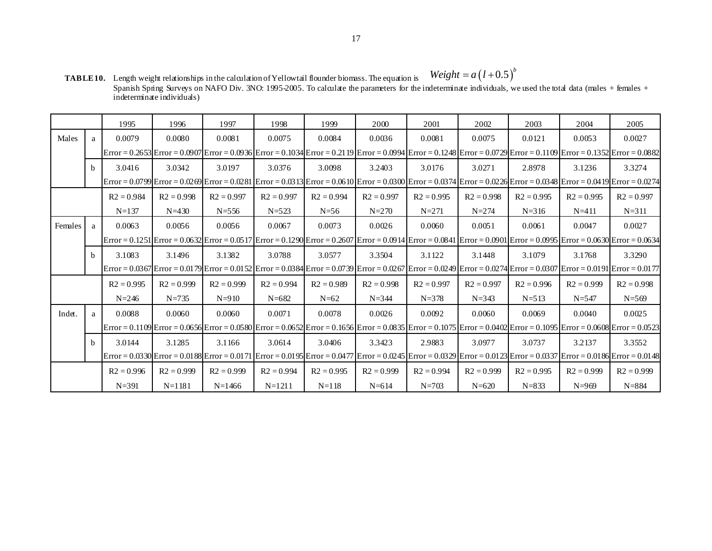**TABLE 10.** Length weight relationships in the calculation of Yellowtail flounder biomass. The equation is Spanish Spring Surveys on NAFO Div. 3NO: 1995-2005. To calculate the parameters for the indeterminate individuals, we used the total data (males + females + indeterminate individuals)  $Weight = a(l+0.5)^b$ 

|         |              | 1995         | 1996         | 1997         | 1998         | 1999         | 2000                                                                                                                                                                      | 2001         | 2002         | 2003         | 2004         | 2005         |
|---------|--------------|--------------|--------------|--------------|--------------|--------------|---------------------------------------------------------------------------------------------------------------------------------------------------------------------------|--------------|--------------|--------------|--------------|--------------|
| Males   | a            | 0.0079       | 0.0080       | 0.0081       | 0.0075       | 0.0084       | 0.0036                                                                                                                                                                    | 0.0081       | 0.0075       | 0.0121       | 0.0053       | 0.0027       |
|         |              |              |              |              |              |              | Error = 0.2653 Error = 0.0907 Error = 0.0936 Error = 0.1034 Error = 0.2119 Error = 0.0994 Error = 0.1248 Error = 0.0729 Error = 0.1109 Error = 0.1352 Error = 0.0882      |              |              |              |              |              |
|         | h            | 3.0416       | 3.0342       | 3.0197       | 3.0376       | 3.0098       | 3.2403                                                                                                                                                                    | 3.0176       | 3.0271       | 2.8978       | 3.1236       | 3.3274       |
|         |              |              |              |              |              |              | Error = 0.0799 Error = 0.0269 Error = 0.0281  Error = 0.0313 Error = 0.0610  Error = 0.0300  Error = 0.0374  Error = 0.0226 Error = 0.0348  Error = 0.0419 Error = 0.0274 |              |              |              |              |              |
|         |              | $R2 = 0.984$ | $R2 = 0.998$ | $R2 = 0.997$ | $R2 = 0.997$ | $R2 = 0.994$ | $R2 = 0.997$                                                                                                                                                              | $R2 = 0.995$ | $R2 = 0.998$ | $R2 = 0.995$ | $R2 = 0.995$ | $R2 = 0.997$ |
|         |              | $N = 137$    | $N = 430$    | $N = 556$    | $N = 523$    | $N=56$       | $N = 270$                                                                                                                                                                 | $N = 271$    | $N = 274$    | $N = 316$    | $N = 411$    | $N = 311$    |
| Females | a            | 0.0063       | 0.0056       | 0.0056       | 0.0067       | 0.0073       | 0.0026                                                                                                                                                                    | 0.0060       | 0.0051       | 0.0061       | 0.0047       | 0.0027       |
|         |              |              |              |              |              |              | Error = 0.1251 Error = 0.0632 Error = 0.05 17 Error = 0.1290 Error = 0.2607 Error = 0.09 14 Error = 0.0841 Error = 0.0901 Error = 0.0995 Error = 0.0630 Error = 0.0634    |              |              |              |              |              |
|         | <sub>b</sub> | 3.1083       | 3.1496       | 3.1382       | 3.0788       | 3.0577       | 3.3504                                                                                                                                                                    | 3.1122       | 3.1448       | 3.1079       | 3.1768       | 3.3290       |
|         |              |              |              |              |              |              | Error = 0.0367 Error = 0.0179 Error = 0.0152 Error = 0.0384 Error = 0.0739 Error = 0.0267 Error = 0.0249 Error = 0.0274 Error = 0.0307 Error = 0.0191 Error = 0.0177      |              |              |              |              |              |
|         |              | $R2 = 0.995$ | $R2 = 0.999$ | $R2 = 0.999$ | $R2 = 0.994$ | $R2 = 0.989$ | $R2 = 0.998$                                                                                                                                                              | $R2 = 0.997$ | $R2 = 0.997$ | $R2 = 0.996$ | $R2 = 0.999$ | $R2 = 0.998$ |
|         |              | $N = 246$    | $N = 735$    | $N = 910$    | $N = 682$    | $N=62$       | $N = 344$                                                                                                                                                                 | $N = 378$    | $N = 343$    | $N = 513$    | $N = 547$    | $N = 569$    |
| Indet.  | a            | 0.0088       | 0.0060       | 0.0060       | 0.0071       | 0.0078       | 0.0026                                                                                                                                                                    | 0.0092       | 0.0060       | 0.0069       | 0.0040       | 0.0025       |
|         |              |              |              |              |              |              | Error = 0.1109 Error = 0.0656 Error = 0.0580 Error = 0.0652 Error = 0.1656 Error = 0.0835 Error = 0.1075 Error = 0.0402 Error = 0.1095 Error = 0.0608 Error = 0.05323     |              |              |              |              |              |
|         | $\mathbf{b}$ | 3.0144       | 3.1285       | 3.1166       | 3.0614       | 3.0406       | 3.3423                                                                                                                                                                    | 2.9883       | 3.0977       | 3.0737       | 3.2137       | 3.3552       |
|         |              |              |              |              |              |              | Error = 0.0330 Error = 0.0188 Error = 0.0171  Error = 0.0195 Error = 0.0477  Error = 0.0245  Error = 0.0329  Error = 0.0123 Error = 0.0337  Error = 0.0186 Error = 0.0148 |              |              |              |              |              |
|         |              | $R2 = 0.996$ | $R2 = 0.999$ | $R2 = 0.999$ | $R2 = 0.994$ | $R2 = 0.995$ | $R2 = 0.999$                                                                                                                                                              | $R2 = 0.994$ | $R2 = 0.999$ | $R2 = 0.995$ | $R2 = 0.999$ | $R2 = 0.999$ |
|         |              | $N = 391$    | $N = 1181$   | $N = 1466$   | $N = 1211$   | $N=118$      | $N = 614$                                                                                                                                                                 | $N = 703$    | $N = 620$    | $N = 833$    | $N = 969$    | $N = 884$    |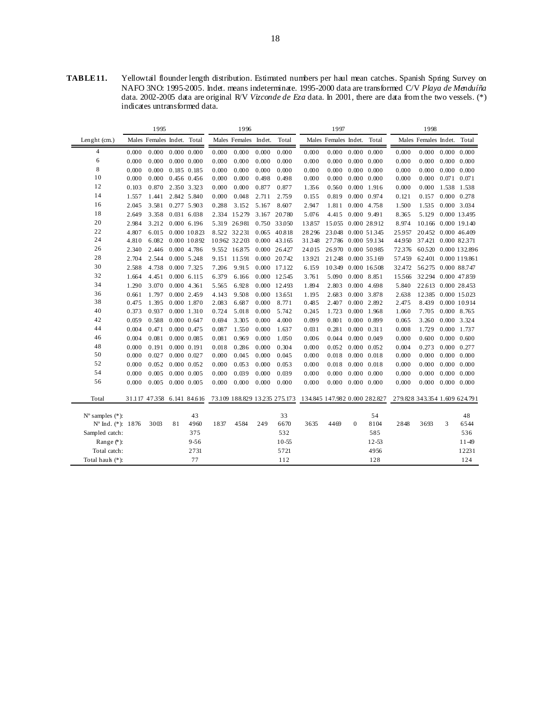**TABLE 11.** Yellowtail flounder length distribution. Estimated numbers per haul mean catches. Spanish Spring Survey on NAFO 3NO: 1995-2005. Indet. means indeterminate. 1995-2000 data are transformed C/V *Playa de Menduíña*  data. 2002-2005 data are original R/V *Vizconde de Eza* data. In 2001, there are data from the two vessels. (\*) indicates untransformed data.

|                             |       | 1995                       |                 |                     |       | 1996                 |                |              |                                                             | 1997                       |          |                     |                               | 1998                       |   |                     |
|-----------------------------|-------|----------------------------|-----------------|---------------------|-------|----------------------|----------------|--------------|-------------------------------------------------------------|----------------------------|----------|---------------------|-------------------------------|----------------------------|---|---------------------|
| Lenght (cm.)                |       | Males Females Indet. Total |                 |                     |       | Males Females Indet. |                | Total        |                                                             | Males Females Indet. Total |          |                     |                               | Males Females Indet. Total |   |                     |
| $\overline{4}$              | 0.000 | 0.000                      |                 | $0.000$ $0.000$     | 0.000 | 0.000                | 0.000          | 0.000        | 0.000                                                       | 0.000                      |          | $0.000 \quad 0.000$ | 0.000                         | $0.000$ $0.000$ $0.000$    |   |                     |
| 6                           | 0.000 | 0.000                      |                 | $0.000$ $0.000$     | 0.000 | 0.000                | 0.000          | 0.000        | 0.000                                                       | 0.000                      |          | $0.000 \quad 0.000$ | 0.000                         | 0.000                      |   | $0.000 \quad 0.000$ |
| 8                           | 0.000 | 0.000                      |                 | 0.185 0.185         | 0.000 | 0.000                | 0.000          | 0.000        | 0.000                                                       | 0.000                      |          | $0.000 \quad 0.000$ | 0.000                         | 0.000                      |   | $0.000 \quad 0.000$ |
| 10                          | 0.000 | 0.000                      |                 | 0.456 0.456         | 0.000 | 0.000                | 0.498          | 0.498        | 0.000                                                       | 0.000                      |          | $0.000 \quad 0.000$ | 0.000                         | 0.000                      |   | $0.071$ $0.071$     |
| 12                          | 0.103 | 0.870                      |                 | 2.350 3.323         | 0.000 | 0.000                | 0.877          | 0.877        | 1.356                                                       | 0.560                      |          | $0.000$ 1.916       | 0.000                         | 0.000                      |   | 1.538 1.538         |
| 14                          | 1.557 | 1.441                      |                 | 2.842 5.840         | 0.000 | 0.048                | 2.711          | 2.759        | 0.155                                                       | 0.819                      |          | 0.000 0.974         | 0.121                         | 0.157                      |   | $0.000 \quad 0.278$ |
| 16                          | 2.045 | 3.581                      |                 | 0.277 5.903         | 0.288 | 3.152                | 5.167          | 8.607        | 2.947                                                       | 1.811                      |          | 0.000 4.758         | 1.500                         | 1.535                      |   | 0.000 3.034         |
| 18                          | 2.649 | 3.358                      |                 | 0.031 6.038         | 2.334 | 15279                | 3.167          | 20.780       | 5.076                                                       | 4.415                      |          | 0.000 9.491         | 8.365                         | 5.129                      |   | 0.000 13.495        |
| 20                          | 2.984 | 3.212                      |                 | 0.0006.196          |       | 5.319 26.981         |                | 0.750 33.050 | 13.857                                                      | 15.055                     |          | 0.000 28.912        | 8.974                         | 10.166 0.000 19.140        |   |                     |
| 22                          | 4.807 | 6.015                      |                 | 0.000 10.823        |       | 8.522 32.231         | 0.065 40.818   |              | 28.296                                                      | 23.048                     |          | 0.000 51345         | 25.957                        | 20.452 0.000 46.409        |   |                     |
| 24                          | 4.810 | 6.082                      |                 | 0.000 10.892        |       | 10962 32203          | $0.000$ 43.165 |              | 31348                                                       | 27.786                     |          | 0.000 59.134        | 44.950                        | 37.421 0.000 82.371        |   |                     |
| 26                          | 2.340 | 2.446                      |                 | 0.000 4.786         |       | 9.552 16.875         | 0.000 26.427   |              | 24.015                                                      | 26.970                     |          | 0.000 50.985        | 72376                         | 60.520 0.000 132.896       |   |                     |
| 28                          | 2.704 | 2.544                      |                 | 0.000 5.248         |       | 9.151 11.591         | 0.000 20.742   |              | 13.921                                                      | 21.248                     |          | 0.000 35.169        | 57.459                        | 62.401 0.000 119.861       |   |                     |
| 30                          | 2.588 | 4.738                      |                 | 0.000 7.325         | 7.206 | 9.915                | 0.000 17.122   |              | 6.159                                                       | 10349                      |          | 0.000 16.508        | 32.472                        | 56275 0.000 88.747         |   |                     |
| 32                          | 1.664 | 4.451                      |                 | 0.00060.115         | 6.379 | 6.166                |                | 0.000 12.545 | 3.761                                                       | 5.090                      |          | 0.000 8.851         | 15566                         | 32.294 0.000 47.859        |   |                     |
| 34                          | 1.290 | 3.070                      |                 | 0.000 4.361         | 5.565 | 6.928                | 0.000 12.493   |              | 1.894                                                       | 2.803                      |          | 0.000 4.698         | 5.840                         | 22.613 0.000 28.453        |   |                     |
| 36                          | 0.661 | 1.797                      |                 | 0.000 2.459         | 4.143 | 9.508                | 0.000 13.651   |              | 1.195                                                       | 2.683                      |          | 0.000 3.878         | 2.638                         | 12.385 0.000 15.023        |   |                     |
| 38                          | 0.475 | 1.395                      |                 | 0.000 1.870         | 2.083 | 6.687                | 0.000          | 8.771        | 0.485                                                       | 2.407                      |          | 0.000 2.892         | 2.475                         | 8.439                      |   | 0.000 10.914        |
| 40                          | 0.373 | 0.937                      |                 | 0.000 1.310         | 0.724 | 5.018                | 0.000          | 5.742        | 0.245                                                       | 1.723                      |          | 0.000 1.968         | 1.060                         | 7.705                      |   | 0.000 8.765         |
| 42                          | 0.059 | 0.588                      |                 | $0.000 \quad 0.647$ | 0.694 | 3.305                | 0.000          | 4.000        | 0.099                                                       | 0.801                      |          | 0.000 0.899         | 0.065                         | 3.260                      |   | 0.000 3.324         |
| 44                          | 0.004 | 0.471                      |                 | 0.000 0.475         | 0.087 | 1.550                | 0.000          | 1.637        | 0.031                                                       | 0.281                      |          | $0.000 \quad 0.311$ | 0.008                         | 1.729                      |   | 0.000 1.737         |
| 46                          | 0.004 | 0.081                      |                 | $0.000$ $0.085$     | 0.081 | 0.969                | 0.000          | 1.050        | 0.006                                                       | 0.044                      |          | $0.000 \quad 0.049$ | 0.000                         | 0.600                      |   | $0.000 \quad 0.600$ |
| 48                          | 0.000 | 0.191                      |                 | $0.000$ $0.191$     | 0.018 | 0.286                | 0.000          | 0.304        | 0.000                                                       | 0.052                      |          | $0.000 \quad 0.052$ | 0.004                         | 0.273                      |   | 0.000 0.277         |
| 50                          | 0.000 | 0.027                      | $0.000$ $0.027$ |                     | 0.000 | 0.045                | 0.000          | 0.045        | 0.000                                                       | 0.018                      |          | $0.000 \quad 0.018$ | 0.000                         | 0.000                      |   | $0.000 \quad 0.000$ |
| 52                          | 0.000 | 0.052                      |                 | $0.000 \quad 0.052$ | 0.000 | 0.053                | 0.000          | 0.053        | 0.000                                                       | 0.018                      |          | $0.000 \quad 0.018$ | 0.000                         | 0.000                      |   | $0.000 \quad 0.000$ |
| 54                          | 0.000 | 0.005                      | $0.000$ $0.005$ |                     | 0.000 | 0.039                | 0.000          | 0.039        | 0.000                                                       | 0.000                      |          | $0.000 \quad 0.000$ | 0.000                         | 0.000                      |   | $0.000 \quad 0.000$ |
| 56                          | 0.000 | $0.005$ 0.000 0.005        |                 |                     | 0.000 | 0.000                | 0.000          | 0.000        | 0.000                                                       | 0.000                      |          | $0.000 \quad 0.000$ | 0.000                         | 0.000                      |   | $0.000 \quad 0.000$ |
| Total                       |       | 31.117 47.358 6.141 84.616 |                 |                     |       |                      |                |              | 73.109 188.829 13.235 275.173 134.845 147.982 0.000 282.827 |                            |          |                     | 279.828 343.354 1.609 624.791 |                            |   |                     |
| $N^{\circ}$ samples $(*)$ : |       |                            |                 | 43                  |       |                      |                | 33           |                                                             |                            |          | 54                  |                               |                            |   | 48                  |
| Nº Ind. (*): 1876           |       | 3003                       | 81              | 4960                | 1837  | 4584                 | 249            | 6670         | 3635                                                        | 4469                       | $\Omega$ | 8104                | 2848                          | 3693                       | 3 | 6544                |
| Sampled catch:              |       |                            |                 | 375                 |       |                      |                | 532          |                                                             |                            |          | 585                 |                               |                            |   | 536                 |
| Range $(*)$ :               |       |                            |                 | $9 - 56$            |       |                      |                | $10 - 55$    |                                                             |                            |          | $12 - 53$           |                               |                            |   | 11-49               |
| Total catch:                |       |                            |                 | 2731                |       |                      |                | 5721         |                                                             |                            |          | 4956                |                               |                            |   | 12231               |
| Total hauk (*):             |       |                            |                 | 77                  |       |                      |                | 112          |                                                             |                            |          | 128                 |                               |                            |   | 124                 |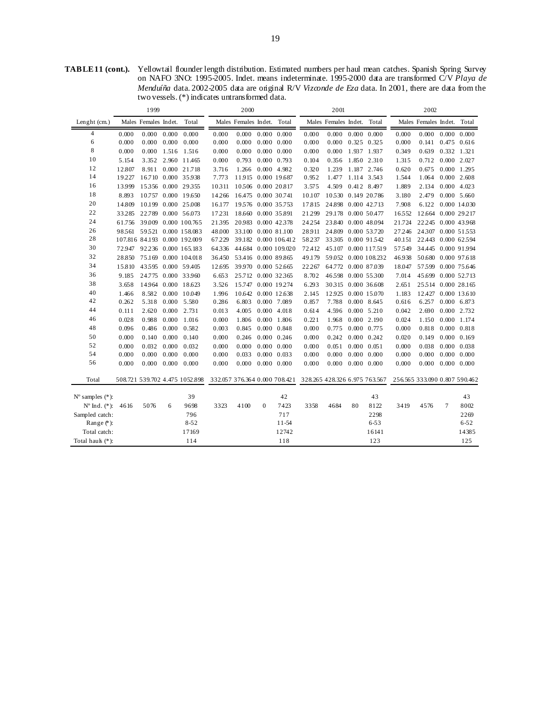**TABLE 11 (cont.).** Yellowtail flounder length distribution. Estimated numbers per haul mean catches. Spanish Spring Survey on NAFO 3NO: 1995-2005. Indet. means indeterminate. 1995-2000 data are transformed C/V *Playa de Menduíña* data. 2002-2005 data are original R/V *Vizconde de Eza* data. In 2001, there are data from the two vessels. (\*) indicates untransformed data.

|                             |        | 1999                 |       | 2000                           |        |                            | 2001                |                      |                                                             |                            | 2002  |                         |                               |                            |                     |                     |
|-----------------------------|--------|----------------------|-------|--------------------------------|--------|----------------------------|---------------------|----------------------|-------------------------------------------------------------|----------------------------|-------|-------------------------|-------------------------------|----------------------------|---------------------|---------------------|
| Lenght (cm.)                |        | Males Females Indet. |       | Total                          |        | Males Females Indet. Total |                     |                      |                                                             | Males Females Indet. Total |       |                         |                               | Males Females Indet. Total |                     |                     |
| 4                           | 0.000  | $0.000 \quad 0.000$  |       | 0.000                          | 0.000  | 0.000                      |                     | $0.000 \quad 0.000$  | 0.000                                                       |                            |       | $0.000$ $0.000$ $0.000$ | 0.000                         | $0.000$ $0.000$ $0.000$    |                     |                     |
| 6                           | 0.000  | 0.000                | 0.000 | 0.000                          | 0.000  | 0.000                      | $0.000 \quad 0.000$ |                      | 0.000                                                       | 0.000                      |       | 0.325 0.325             | 0.000                         | 0.141                      |                     | $0.475$ 0.616       |
| 8                           | 0.000  | 0.000                |       | 1.516 1.516                    | 0.000  | 0.000                      | $0.000 \quad 0.000$ |                      | 0.000                                                       | 0.000                      |       | 1.937 1.937             | 0.349                         | 0.639                      | 0.332 1.321         |                     |
| 10                          | 5.154  | 3.352                |       | 2.960 11.465                   | 0.000  | 0.793                      | $0.000 \quad 0.793$ |                      | 0.104                                                       | 0.356                      |       | 1.850 2.310             | 1.315                         | 0.712                      |                     | 0.000 2.027         |
| 12                          | 12.807 | 8.911                |       | 0.000 21.718                   | 3.716  | 1.266                      | 0.000 4.982         |                      | 0.320                                                       | 1.239                      | 1.187 | 2.746                   | 0.620                         | 0.675                      |                     | 0.000 1.295         |
| 14                          | 19.227 |                      |       | 16.710 0.000 35.938            | 7.773  | 11915 0.000 19.687         |                     |                      | 0.952                                                       | 1.477                      |       | 1.114 3.543             | 1.544                         | 1.064                      | $0.000$ 2.608       |                     |
| 16                          | 13.999 | 15356 0.000 29355    |       |                                | 10311  | 10506 0.000 20.817         |                     |                      | 3.575                                                       | 4.509                      |       | 0.412 8.497             | 1.889                         | 2.134                      | $0.000$ 4.023       |                     |
| 18                          | 8.893  |                      |       | 10.757 0.000 19.650            | 14.266 | 16.475 0.000 30.741        |                     |                      | 10.107                                                      | 10.530 0.149 20.786        |       |                         | 3.180                         | 2.479                      |                     | $0.000\ 5.660$      |
| 20                          | 14.809 |                      |       | 10.199 0.000 25.008            | 16.177 | 19576 0.000 35.753         |                     |                      | 17.815                                                      | 24.898 0.000 42.713        |       |                         | 7.908                         |                            |                     | 6.122 0.000 14.030  |
| 22                          | 33.285 |                      |       | 22.789 0.000 56.073            |        | 17.231 18.660 0.000 35.891 |                     |                      | 21.299                                                      | 29.178 0.000 50.477        |       |                         | 16552                         | 12.664 0.000 29.217        |                     |                     |
| 24                          | 61.756 |                      |       | 39.009 0.000 100.765           | 21395  | 20983 0.000 42.378         |                     |                      | 24.254                                                      | 23.840 0.000 48.094        |       |                         | 21.724                        | 22.245 0.000 43.968        |                     |                     |
| 26                          | 98.561 |                      |       | 59521 0.000 158.083            | 48.000 | 33.100 0.000 81.100        |                     |                      | 28.911                                                      | 24.809 0.000 53.720        |       |                         | 27.246                        | 24307 0.000 51553          |                     |                     |
| 28                          |        |                      |       | 107.816 84.193 0.000 192.009   | 67.229 |                            |                     | 39.182 0.000 106.412 | 58.237                                                      | 33305 0.000 91542          |       |                         | 40.151                        | 22.443 0.000 62.594        |                     |                     |
| 30                          | 72.947 |                      |       | 92.236 0.000 165.183           | 64336  |                            |                     | 44.684 0.000 109.020 | 72.412                                                      |                            |       | 45.107 0.000 117.519    | 57549                         | 34.445 0.000 91.994        |                     |                     |
| 32                          | 28.850 |                      |       | 75.169 0.000 104.018           | 36.450 | 53.416 0.000 89.865        |                     |                      | 49.179                                                      |                            |       | 59.052 0.000 108.232    | 46.938                        | 50.680 0.000 97.618        |                     |                     |
| 34                          | 15.810 |                      |       | 43595 0.000 59.405             | 12.695 | 39.970 0.000 52.665        |                     |                      | 22.267                                                      | 64.772 0.000 87.039        |       |                         | 18.047                        | 57.599 0.000 75.646        |                     |                     |
| 36                          | 9.185  |                      |       | 24.775 0.000 33.960            | 6.653  | 25.712 0.000 32.365        |                     |                      | 8.702                                                       | 46598                      |       | 0.000 55300             | 7.014                         | 45.699 0.000 52.713        |                     |                     |
| 38                          | 3.658  |                      |       | 14.964 0.000 18.623            | 3.526  | 15.747 0.000 19.274        |                     |                      | 6.293                                                       | 30315 0.000 36.608         |       |                         | 2.651                         | 25.514 0.000 28.165        |                     |                     |
| 40                          | 1.466  | 8.582                |       | 0.000 10.049                   | 1.996  | 10.642 0.000 12.638        |                     |                      | 2.145                                                       | 12.925                     |       | 0.000 15.070            | 1.183                         | 12.427 0.000 13.610        |                     |                     |
| 42                          | 0.262  | 5.318                | 0.000 | 5.580                          | 0.286  | 6.803                      | 0.000 7.089         |                      | 0.857                                                       | 7.788                      |       | $0.000$ 8.645           | 0.616                         | 6.257                      |                     | 0.000 6.873         |
| 44                          | 0.111  | 2.620                | 0.000 | 2.731                          | 0.013  | 4.005                      | $0.000 \quad 4.018$ |                      | 0.614                                                       | 4.596                      |       | $0.000 \quad 5.210$     | 0.042                         | 2.690                      | 0.000 2.732         |                     |
| 46                          | 0.028  | 0.988                | 0.000 | 1.016                          | 0.000  | 1.806                      |                     | 0.000 1.806          | 0.221                                                       | 1.968                      |       | $0.000$ 2.190           | 0.024                         | 1.150                      | 0.000 1.174         |                     |
| 48                          | 0.096  | 0.486                | 0.000 | 0.582                          | 0.003  | 0.845                      | $0.000 \quad 0.848$ |                      | 0.000                                                       | 0.775                      |       | 0.000 0.775             | 0.000                         | 0.818                      | $0.000 \quad 0.818$ |                     |
| 50                          | 0.000  | 0.140                | 0.000 | 0.140                          | 0.000  | 0.246                      | $0.000 \quad 0.246$ |                      | 0.000                                                       | 0.242                      |       | 0.000 0.242             | 0.020                         | 0.149                      |                     | $0.000 \quad 0.169$ |
| 52                          | 0.000  | 0.032                | 0.000 | 0.032                          | 0.000  | 0.000                      | $0.000 \quad 0.000$ |                      | 0.000                                                       | 0.051                      |       | $0.000 \quad 0.051$     | 0.000                         | 0.038                      |                     | $0.000 \quad 0.038$ |
| 54                          | 0.000  | 0.000                | 0.000 | 0.000                          | 0.000  | 0.033                      | $0.000 \quad 0.033$ |                      | 0.000                                                       | 0.000                      |       | $0.000 \quad 0.000$     | 0.000                         | 0.000                      |                     | $0.000 \quad 0.000$ |
| 56                          | 0.000  | 0.000                | 0.000 | 0.000                          | 0.000  | 0.000                      | $0.000 \quad 0.000$ |                      | 0.000                                                       | 0.000                      |       | $0.000 \quad 0.000$     | 0.000                         | $0.000$ $0.000$ $0.000$    |                     |                     |
| Total                       |        |                      |       | 508.721 539.702 4.475 1052.898 |        |                            |                     |                      | 332.057 376.364 0.000 708.421 328.265 428.326 6.975 763.567 |                            |       |                         | 256.565 333.090 0.807 590.462 |                            |                     |                     |
| $N^{\circ}$ samples $(*)$ : |        |                      |       | 39                             |        |                            |                     | 42                   |                                                             |                            |       | 43                      |                               |                            |                     | 43                  |
| $N^{\circ}$ Ind. $(*)$ :    | 4616   | 5076                 | 6     | 9698                           | 3323   | 4100                       | $\Omega$            | 7423                 | 3358                                                        | 4684                       | 80    | 8122                    | 3419                          | 4576                       | 7                   | 8002                |
| Sampled catch:              |        |                      |       | 796                            |        |                            |                     | 717                  |                                                             |                            |       | 2298                    |                               |                            |                     | 2269                |
| Range $(*)$ :               |        |                      |       | $8 - 52$                       |        |                            |                     | $11 - 54$            |                                                             |                            |       | $6 - 53$                |                               |                            |                     | $6 - 52$            |
| Total catch:                |        |                      |       | 17169                          |        |                            |                     | 12742                |                                                             |                            |       | 16141                   |                               |                            |                     | 14385               |
| Total hauk (*):             |        |                      |       | 114                            |        |                            |                     | 118                  |                                                             |                            |       | 123                     |                               |                            |                     | 125                 |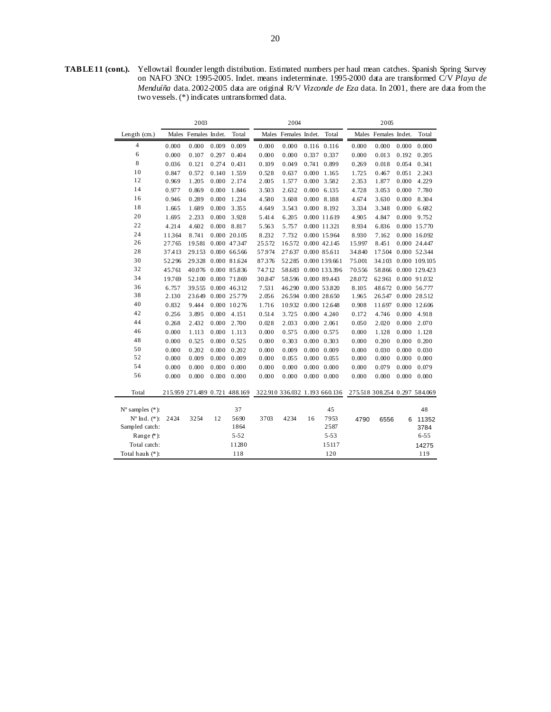**TABLE 11 (cont.).** Yellowtail flounder length distribution. Estimated numbers per haul mean catches. Spanish Spring Survey on NAFO 3NO: 1995-2005. Indet. means indeterminate. 1995-2000 data are transformed C/V *Playa de Menduíña* data. 2002-2005 data are original R/V *Vizconde de Eza* data. In 2001, there are data from the two vessels. (\*) indicates untransformed data.

|                             |        | 2003                          |       |              |                               | 2004                 |       |                     |                               | 2005                 |       |               |
|-----------------------------|--------|-------------------------------|-------|--------------|-------------------------------|----------------------|-------|---------------------|-------------------------------|----------------------|-------|---------------|
| Length $(cm.)$              |        | Males Females Indet.          |       | Total        |                               | Males Females Indet. |       | Total               |                               | Males Females Indet. |       | Total         |
| 4                           | 0.000  | 0.000                         | 0.009 | 0.009        | 0.000                         | 0.000                |       | $0.116$ $0.116$     | 0.000                         | 0.000                | 0.000 | 0.000         |
| 6                           | 0.000  | 0.107                         | 0.297 | 0.404        | 0.000                         | 0.000                | 0.337 | 0.337               | 0.000                         | 0.013                | 0.192 | 0.205         |
| 8                           | 0.036  | 0.121                         | 0.274 | 0.431        | 0.109                         | 0.049                | 0.741 | 0.899               | 0.269                         | 0.018                | 0.054 | 0.341         |
| 10                          | 0.847  | 0.572                         | 0.140 | 1.559        | 0.528                         | 0.637                | 0.000 | 1.165               | 1.725                         | 0.467                | 0.051 | 2.243         |
| 12                          | 0.969  | 1.205                         | 0.000 | 2.174        | 2.005                         | 1.577                | 0.000 | 3.582               | 2.353                         | 1.877                | 0.000 | 4.229         |
| 14                          | 0.977  | 0.869                         | 0.000 | 1.846        | 3.503                         | 2.632                |       | $0.000$ 6.135       | 4.728                         | 3.053                | 0.000 | 7.780         |
| 16                          | 0.946  | 0.289                         | 0.000 | 1.234        | 4.580                         | 3.608                |       | $0.000$ 8.188       | 4.674                         | 3.630                | 0.000 | 8.304         |
| 18                          | 1.665  | 1.689                         | 0.000 | 3.355        | 4.649                         | 3.543                |       | 0.000 8.192         | 3.334                         | 3.348                | 0.000 | 6.682         |
| 20                          | 1.695  | 2.233                         | 0.000 | 3.928        | 5.414                         | 6.205                |       | 0.000 11.619        | 4.905                         | 4.847                | 0.000 | 9.752         |
| 22                          | 4.214  | 4.602                         | 0.000 | 8.817        | 5.563                         | 5.757                |       | 0.000 11321         | 8.934                         | 6.836                |       | 0.000 15.770  |
| 24                          | 11364  | 8.741                         |       | 0.000 20.105 | 8.232                         | 7.732                |       | 0.000 15964         | 8.930                         | 7.162                |       | 0.000 16.092  |
| 26                          | 27.765 | 19581                         |       | 0.000 47.347 | 25572                         | 16572                |       | 0.000 42.145        | 15.997                        | 8.451                |       | 0.000 24.447  |
| 28                          | 37.413 | 29.153                        |       | 0.000 66566  | 57.974                        | 27.637               |       | 0.000 85.611        | 34.840                        | 17504                |       | 0.000 52.344  |
| 30                          | 52.296 | 29328                         |       | 0.000 81.624 | 87376                         | 52.285               |       | 0.000 139.661       | 75.001                        | 34.103               |       | 0.000 109.105 |
| 32                          | 45.761 | 40.076                        |       | 0.000 85.836 | 74.712                        | 58.683               |       | 0.000 133.396       | 70556                         | 58.866               |       | 0.000 129.423 |
| 34                          | 19.769 | 52.100                        |       | 0.000 71.869 | 30.847                        | 58596                |       | 0.000 89.443        | 28.072                        | 62.961               |       | 0.000 91.032  |
| 36                          | 6.757  | 39555                         |       | 0.000 46.312 | 7.531                         | 46290                |       | 0.000 53.820        | 8.105                         | 48.672               |       | 0.000 56.777  |
| 38                          | 2.130  | 23.649                        |       | 0.000 25.779 | 2.056                         | 26594                |       | 0.000 28.650        | 1.965                         | 26547                |       | 0.000 28.512  |
| 40                          | 0.832  | 9.444                         |       | 0.000 10.276 | 1.716                         | 10.932 0.000 12.648  |       |                     | 0.908                         | 11.697               |       | 0.000 12.606  |
| 42                          | 0.256  | 3.895                         | 0.000 | 4.151        | 0.514                         | 3.725                |       | 0.000 4.240         | 0.172                         | 4.746                | 0.000 | 4.918         |
| 44                          | 0.268  | 2.432                         | 0.000 | 2.700        | 0.028                         | 2.033                |       | $0.000$ 2.061       | 0.050                         | 2.020                | 0.000 | 2.070         |
| 46                          | 0.000  | 1.113                         | 0.000 | 1.113        | 0.000                         | 0.575                | 0.000 | 0.575               | 0.000                         | 1.128                | 0.000 | 1.128         |
| 48                          | 0.000  | 0.525                         | 0.000 | 0.525        | 0.000                         | 0.303                | 0.000 | 0.303               | 0.000                         | 0.200                | 0.000 | 0.200         |
| 50                          | 0.000  | 0.202                         | 0.000 | 0.202        | 0.000                         | 0.009                | 0.000 | 0.009               | 0.000                         | 0.030                | 0.000 | 0.030         |
| 52                          | 0.000  | 0.009                         | 0.000 | 0.009        | 0.000                         | 0.055                |       | $0.000 \quad 0.055$ | 0.000                         | 0.000                | 0.000 | 0.000         |
| 54                          | 0.000  | 0.000                         | 0.000 | 0.000        | 0.000                         | 0.000                |       | $0.000 \quad 0.000$ | 0.000                         | 0.079                | 0.000 | 0.079         |
| 56                          | 0.000  | 0.000                         | 0.000 | 0.000        | 0.000                         | 0.000                |       | $0.000 \quad 0.000$ | 0.000                         | 0.000                | 0.000 | 0.000         |
| Total                       |        | 215.959 271.489 0.721 488.169 |       |              | 322.910 336.032 1.193 660.136 |                      |       |                     | 275.518 308.254 0.297 584.069 |                      |       |               |
|                             |        |                               |       |              |                               |                      |       |                     |                               |                      |       |               |
| $N^{\circ}$ samples $(*)$ : |        |                               |       | 37           |                               |                      |       | 45                  |                               |                      |       | 48            |
| $N^{\circ}$ Ind. $(*)$ :    | 2424   | 3254                          | 12    | 5690         | 3703                          | 4234                 | 16    | 7953                | 4790                          | 6556                 | 6     | 11352         |
| Sampled catch:              |        |                               |       | 1864         |                               |                      |       | 2587                |                               |                      |       | 3784          |
| Range (*):                  |        |                               |       | $5 - 52$     |                               |                      |       | $5 - 53$            |                               |                      |       | $6 - 55$      |
| Total catch:                |        |                               |       | 11280        |                               |                      |       | 15117               |                               |                      |       | 14275         |
| Total hauk (*):             |        |                               |       | 118          |                               |                      |       | 120                 |                               |                      |       | 119           |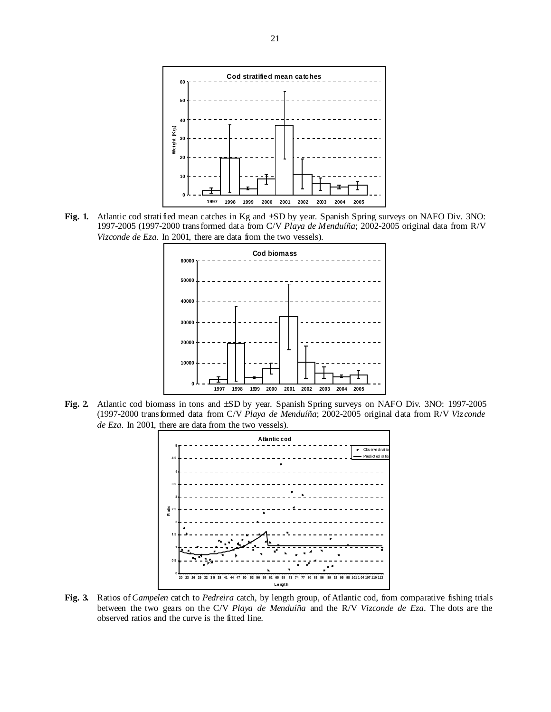

**Fig. 1.** Atlantic cod stratified mean catches in Kg and ±SD by year. Spanish Spring surveys on NAFO Div. 3NO: 1997-2005 (1997-2000 transformed data from C/V *Playa de Menduíña*; 2002-2005 original data from R/V *Vizconde de Eza*. In 2001, there are data from the two vessels).



**Fig. 2.** Atlantic cod biomass in tons and ±SD by year. Spanish Spring surveys on NAFO Div. 3NO: 1997-2005 (1997-2000 transformed data from C/V *Playa de Menduíña*; 2002-2005 original data from R/V *Vizconde de Eza*. In 2001, there are data from the two vessels).



**Fig. 3.** Ratios of *Campelen* catch to *Pedreira* catch, by length group, of Atlantic cod, from comparative fishing trials between the two gears on the C/V *Playa de Menduíña* and the R/V *Vizconde de Eza*. The dots are the observed ratios and the curve is the fitted line.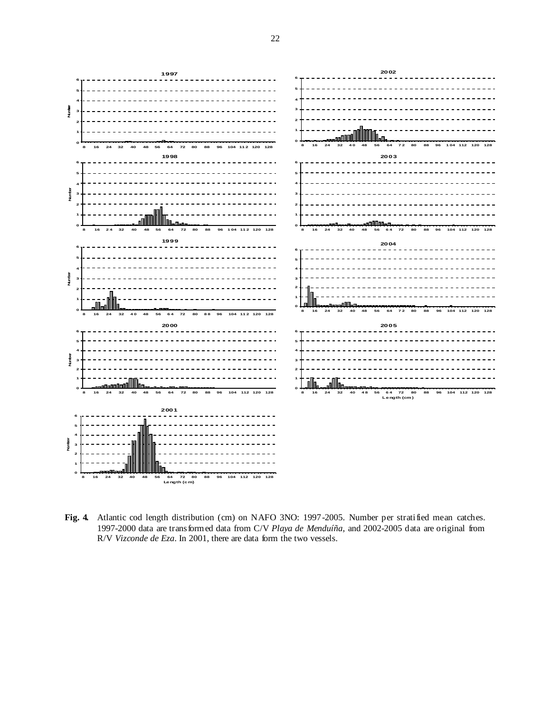

**Fig. 4.** Atlantic cod length distribution (cm) on NAFO 3NO: 1997-2005. Number per stratified mean catches. 1997-2000 data are transformed data from C/V *Playa de Menduíña*, and 2002-2005 data are original from R/V *Vizconde de Eza*. In 2001, there are data form the two vessels.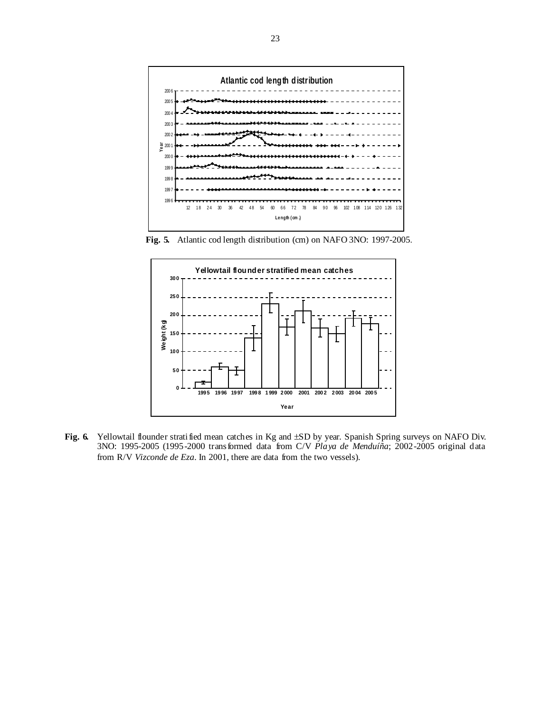

**Fig. 5.** Atlantic cod length distribution (cm) on NAFO 3NO: 1997-2005.



Fig. 6. Yellowtail flounder stratified mean catches in Kg and  $\pm SD$  by year. Spanish Spring surveys on NAFO Div. 3NO: 1995-2005 (1995-2000 transformed data from C/V *Playa de Menduíña*; 2002-2005 original data from R/V *Vizconde de Eza*. In 2001, there are data from the two vessels).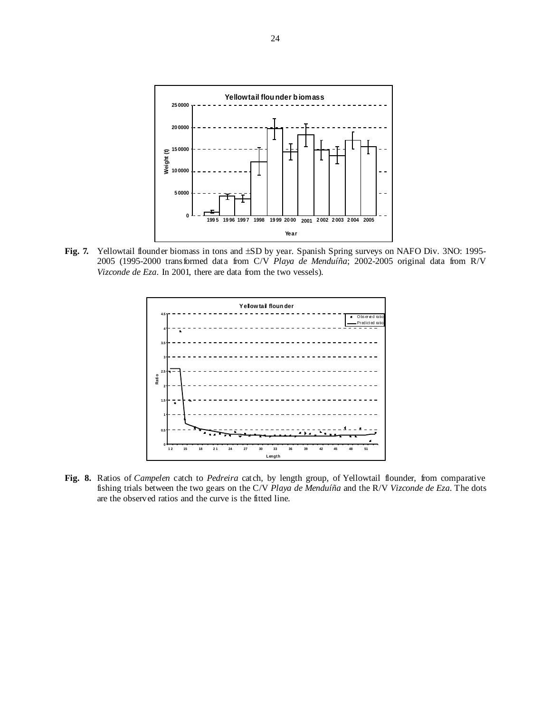

Fig. 7. Yellowtail flounder biomass in tons and  $\pm SD$  by year. Spanish Spring surveys on NAFO Div. 3NO: 1995-2005 (1995-2000 transformed data from C/V *Playa de Menduíña*; 2002-2005 original data from R/V *Vizconde de Eza*. In 2001, there are data from the two vessels).



**Fig. 8.** Ratios of *Campelen* catch to *Pedreira* catch, by length group, of Yellowtail flounder, from comparative fishing trials between the two gears on the C/V *Playa de Menduíña* and the R/V *Vizconde de Eza*. The dots are the observed ratios and the curve is the fitted line.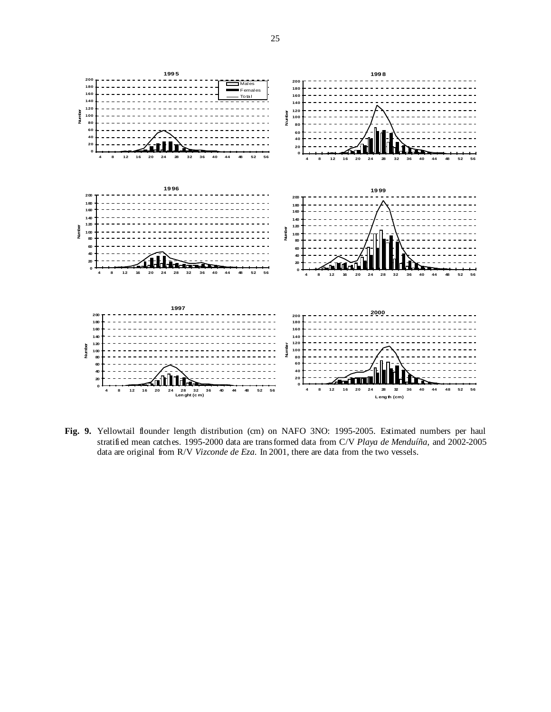

Fig. 9. Yellowtail flounder length distribution (cm) on NAFO 3NO: 1995-2005. Estimated numbers per haul stratified mean catches. 1995-2000 data are transformed data from C/V *Playa de Menduíña*, and 2002-2005 data are original from R/V *Vizconde de Eza*. In 2001, there are data from the two vessels.